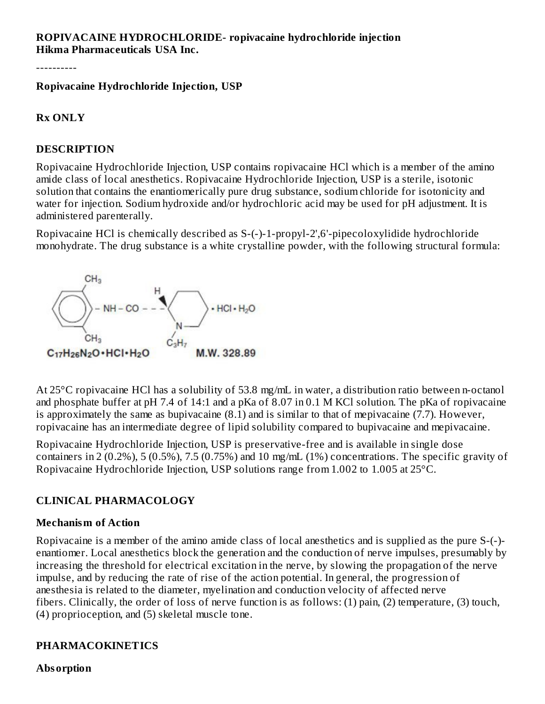## **ROPIVACAINE HYDROCHLORIDE- ropivacaine hydrochloride injection Hikma Pharmaceuticals USA Inc.**

----------

**Ropivacaine Hydrochloride Injection, USP**

### **Rx ONLY**

### **DESCRIPTION**

Ropivacaine Hydrochloride Injection, USP contains ropivacaine HCl which is a member of the amino amide class of local anesthetics. Ropivacaine Hydrochloride Injection, USP is a sterile, isotonic solution that contains the enantiomerically pure drug substance, sodium chloride for isotonicity and water for injection. Sodium hydroxide and/or hydrochloric acid may be used for pH adjustment. It is administered parenterally.

Ropivacaine HCl is chemically described as S-(-)-1-propyl-2',6'-pipecoloxylidide hydrochloride monohydrate. The drug substance is a white crystalline powder, with the following structural formula:



At 25°C ropivacaine HCl has a solubility of 53.8 mg/mL in water, a distribution ratio between n-octanol and phosphate buffer at pH 7.4 of 14:1 and a pKa of 8.07 in 0.1 M KCl solution. The pKa of ropivacaine is approximately the same as bupivacaine (8.1) and is similar to that of mepivacaine (7.7). However, ropivacaine has an intermediate degree of lipid solubility compared to bupivacaine and mepivacaine.

Ropivacaine Hydrochloride Injection, USP is preservative-free and is available in single dose containers in 2 (0.2%), 5 (0.5%), 7.5 (0.75%) and 10 mg/mL (1%) concentrations. The specific gravity of Ropivacaine Hydrochloride Injection, USP solutions range from 1.002 to 1.005 at 25°C.

## **CLINICAL PHARMACOLOGY**

### **Mechanism of Action**

Ropivacaine is a member of the amino amide class of local anesthetics and is supplied as the pure S-(-) enantiomer. Local anesthetics block the generation and the conduction of nerve impulses, presumably by increasing the threshold for electrical excitation in the nerve, by slowing the propagation of the nerve impulse, and by reducing the rate of rise of the action potential. In general, the progression of anesthesia is related to the diameter, myelination and conduction velocity of affected nerve fibers. Clinically, the order of loss of nerve function is as follows: (1) pain, (2) temperature, (3) touch, (4) proprioception, and (5) skeletal muscle tone.

## **PHARMACOKINETICS**

**Absorption**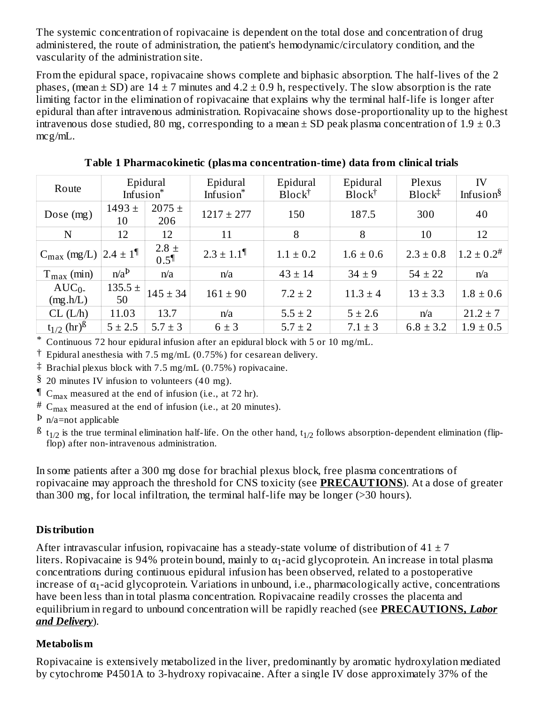The systemic concentration of ropivacaine is dependent on the total dose and concentration of drug administered, the route of administration, the patient's hemodynamic/circulatory condition, and the vascularity of the administration site.

From the epidural space, ropivacaine shows complete and biphasic absorption. The half-lives of the 2 phases, (mean  $\pm$  SD) are 14  $\pm$  7 minutes and 4.2  $\pm$  0.9 h, respectively. The slow absorption is the rate limiting factor in the elimination of ropivacaine that explains why the terminal half-life is longer after epidural than after intravenous administration. Ropivacaine shows dose-proportionality up to the highest intravenous dose studied, 80 mg, corresponding to a mean  $\pm$  SD peak plasma concentration of 1.9  $\pm$  0.3 mcg/mL.

| Route                                         | Infusion <sup>*</sup> | Epidural                      | Epidural<br>Infusion*      | Epidural<br>$Block^{\dagger}$ | Epidural<br>$Block^{\dagger}$ | Plexus<br>$Block^{\ddagger}$ | IV<br>Infusion <sup>§</sup> |
|-----------------------------------------------|-----------------------|-------------------------------|----------------------------|-------------------------------|-------------------------------|------------------------------|-----------------------------|
| Dose $(mg)$                                   | $1493 +$<br>10        | $2075 \pm$<br>206             | $1217 \pm 277$             | 150                           | 187.5                         | 300                          | 40                          |
| N                                             | 12                    | 12                            | 11                         | 8                             | 8                             | 10                           | 12                          |
| $C_{\text{max}}$ (mg/L)  2.4 ± 1 <sup>¶</sup> |                       | $2.8 \pm$<br>0.5 <sup>1</sup> | $2.3 \pm 1.1$ <sup>1</sup> | $1.1 \pm 0.2$                 | $1.6 \pm 0.6$                 | $2.3 \pm 0.8$                | $1.2 \pm 0.2^{\#}$          |
| $T_{\text{max}}$ (min)                        | n/a <sup>b</sup>      | n/a                           | n/a                        | $43 \pm 14$                   | $34 \pm 9$                    | $54 \pm 22$                  | n/a                         |
| $AUC_0$ .<br>(mg.h/L)                         | $135.5 \pm$<br>50     | $145 \pm 34$                  | $161 \pm 90$               | $7.2 \pm 2$                   | $11.3 \pm 4$                  | $13 \pm 3.3$                 | $1.8 \pm 0.6$               |
| CL (L/h)                                      | 11.03                 | 13.7                          | n/a                        | $5.5 \pm 2$                   | $5 \pm 2.6$                   | n/a                          | $21.2 \pm 7$                |
| $t_{1/2}$ (hr) <sup><math>\beta</math></sup>  | 5 ± 2.5               | $5.7 \pm 3$                   | $6 \pm 3$                  | $5.7 \pm 2$                   | $7.1 \pm 3$                   | $6.8 \pm 3.2$                | $1.9 \pm 0.5$               |

**Table 1 Pharmacokinetic (plasma concentration-time) data from clinical trials**

\* Continuous 72 hour epidural infusion after an epidural block with 5 or 10 mg/mL.

† Epidural anesthesia with 7.5 mg/mL (0.75%) for cesarean delivery.

‡ Brachial plexus block with 7.5 mg/mL (0.75%) ropivacaine.

 $§$  20 minutes IV infusion to volunteers (40 mg).

 $\blacksquare$  C<sub>max</sub> measured at the end of infusion (i.e., at 72 hr).

 $^{\#}$  C<sub>max</sub> measured at the end of infusion (i.e., at 20 minutes).

Þ n/a=not applicable

 $^{\rm 6}$  t $_{1/2}$  is the true terminal elimination half-life. On the other hand, t $_{1/2}$  follows absorption-dependent elimination (flipflop) after non-intravenous administration.

In some patients after a 300 mg dose for brachial plexus block, free plasma concentrations of ropivacaine may approach the threshold for CNS toxicity (see **PRECAUTIONS**). At a dose of greater than 300 mg, for local infiltration, the terminal half-life may be longer (>30 hours).

## **Distribution**

After intravascular infusion, ropivacaine has a steady-state volume of distribution of  $41 \pm 7$ liters. Ropivacaine is 94% protein bound, mainly to  $\alpha_1$ -acid glycoprotein. An increase in total plasma concentrations during continuous epidural infusion has been observed, related to a postoperative increase of  $\alpha_1$ -acid glycoprotein. Variations in unbound, i.e., pharmacologically active, concentrations have been less than in total plasma concentration. Ropivacaine readily crosses the placenta and equilibrium in regard to unbound concentration will be rapidly reached (see **PRECAUTIONS,** *Labor and Delivery*).

# **Metabolism**

Ropivacaine is extensively metabolized in the liver, predominantly by aromatic hydroxylation mediated by cytochrome P4501A to 3-hydroxy ropivacaine. After a single IV dose approximately 37% of the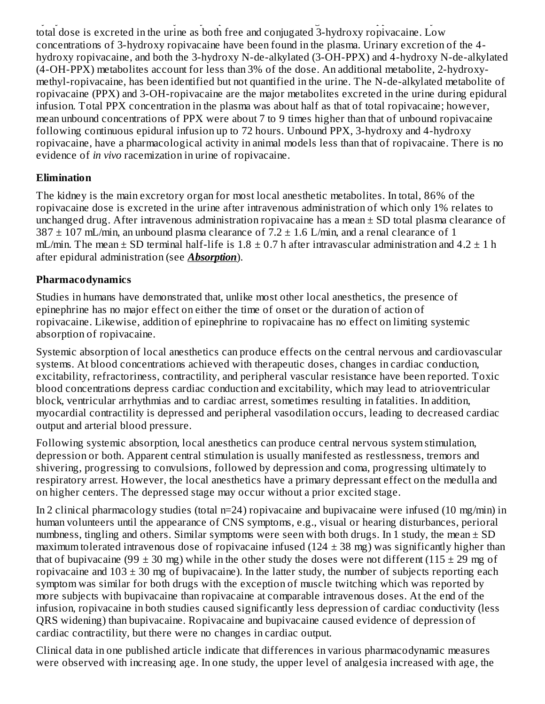by cytochrome P4501A to 3-hydroxy ropivacaine. After a single IV dose approximately 37% of the total dose is excreted in the urine as both free and conjugated 3-hydroxy ropivacaine. Low concentrations of 3-hydroxy ropivacaine have been found in the plasma. Urinary excretion of the 4 hydroxy ropivacaine, and both the 3-hydroxy N-de-alkylated (3-OH-PPX) and 4-hydroxy N-de-alkylated (4-OH-PPX) metabolites account for less than 3% of the dose. An additional metabolite, 2-hydroxymethyl-ropivacaine, has been identified but not quantified in the urine. The N-de-alkylated metabolite of ropivacaine (PPX) and 3-OH-ropivacaine are the major metabolites excreted in the urine during epidural infusion. Total PPX concentration in the plasma was about half as that of total ropivacaine; however, mean unbound concentrations of PPX were about 7 to 9 times higher than that of unbound ropivacaine following continuous epidural infusion up to 72 hours. Unbound PPX, 3-hydroxy and 4-hydroxy ropivacaine, have a pharmacological activity in animal models less than that of ropivacaine. There is no evidence of *in vivo* racemization in urine of ropivacaine.

# **Elimination**

The kidney is the main excretory organ for most local anesthetic metabolites. In total, 86% of the ropivacaine dose is excreted in the urine after intravenous administration of which only 1% relates to unchanged drug. After intravenous administration ropivacaine has a mean  $\pm$  SD total plasma clearance of  $387 \pm 107$  mL/min, an unbound plasma clearance of  $7.2 \pm 1.6$  L/min, and a renal clearance of 1 mL/min. The mean  $\pm$  SD terminal half-life is 1.8  $\pm$  0.7 h after intravascular administration and 4.2  $\pm$  1 h after epidural administration (see *Absorption*).

## **Pharmacodynamics**

Studies in humans have demonstrated that, unlike most other local anesthetics, the presence of epinephrine has no major effect on either the time of onset or the duration of action of ropivacaine. Likewise, addition of epinephrine to ropivacaine has no effect on limiting systemic absorption of ropivacaine.

Systemic absorption of local anesthetics can produce effects on the central nervous and cardiovascular systems. At blood concentrations achieved with therapeutic doses, changes in cardiac conduction, excitability, refractoriness, contractility, and peripheral vascular resistance have been reported. Toxic blood concentrations depress cardiac conduction and excitability, which may lead to atrioventricular block, ventricular arrhythmias and to cardiac arrest, sometimes resulting in fatalities. In addition, myocardial contractility is depressed and peripheral vasodilation occurs, leading to decreased cardiac output and arterial blood pressure.

Following systemic absorption, local anesthetics can produce central nervous system stimulation, depression or both. Apparent central stimulation is usually manifested as restlessness, tremors and shivering, progressing to convulsions, followed by depression and coma, progressing ultimately to respiratory arrest. However, the local anesthetics have a primary depressant effect on the medulla and on higher centers. The depressed stage may occur without a prior excited stage.

In 2 clinical pharmacology studies (total n=24) ropivacaine and bupivacaine were infused (10 mg/min) in human volunteers until the appearance of CNS symptoms, e.g., visual or hearing disturbances, perioral numbness, tingling and others. Similar symptoms were seen with both drugs. In 1 study, the mean  $\pm$  SD maximum tolerated intravenous dose of ropivacaine infused (124  $\pm$  38 mg) was significantly higher than that of bupivacaine (99  $\pm$  30 mg) while in the other study the doses were not different (115  $\pm$  29 mg of ropivacaine and  $103 \pm 30$  mg of bupivacaine). In the latter study, the number of subjects reporting each symptom was similar for both drugs with the exception of muscle twitching which was reported by more subjects with bupivacaine than ropivacaine at comparable intravenous doses. At the end of the infusion, ropivacaine in both studies caused significantly less depression of cardiac conductivity (less QRS widening) than bupivacaine. Ropivacaine and bupivacaine caused evidence of depression of cardiac contractility, but there were no changes in cardiac output.

Clinical data in one published article indicate that differences in various pharmacodynamic measures were observed with increasing age. In one study, the upper level of analgesia increased with age, the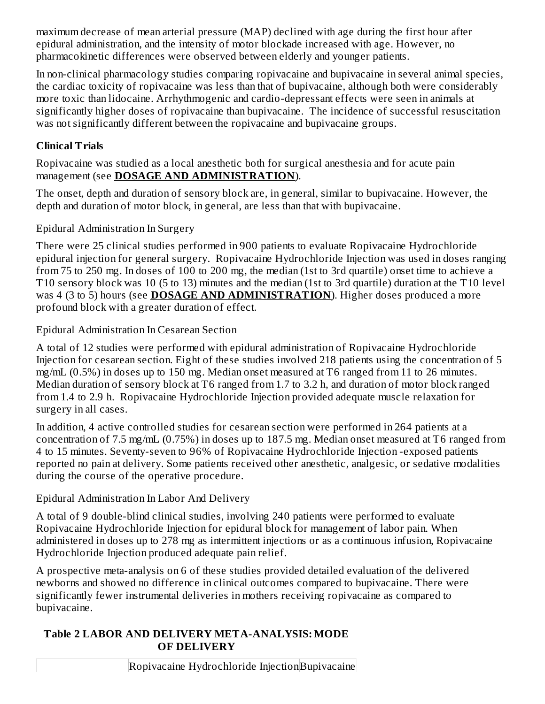maximum decrease of mean arterial pressure (MAP) declined with age during the first hour after epidural administration, and the intensity of motor blockade increased with age. However, no pharmacokinetic differences were observed between elderly and younger patients.

In non-clinical pharmacology studies comparing ropivacaine and bupivacaine in several animal species, the cardiac toxicity of ropivacaine was less than that of bupivacaine, although both were considerably more toxic than lidocaine. Arrhythmogenic and cardio-depressant effects were seen in animals at significantly higher doses of ropivacaine than bupivacaine. The incidence of successful resuscitation was not significantly different between the ropivacaine and bupivacaine groups.

# **Clinical Trials**

Ropivacaine was studied as a local anesthetic both for surgical anesthesia and for acute pain management (see **DOSAGE AND ADMINISTRATION**).

The onset, depth and duration of sensory block are, in general, similar to bupivacaine. However, the depth and duration of motor block, in general, are less than that with bupivacaine.

# Epidural Administration In Surgery

There were 25 clinical studies performed in 900 patients to evaluate Ropivacaine Hydrochloride epidural injection for general surgery. Ropivacaine Hydrochloride Injection was used in doses ranging from 75 to 250 mg. In doses of 100 to 200 mg, the median (1st to 3rd quartile) onset time to achieve a T10 sensory block was 10 (5 to 13) minutes and the median (1st to 3rd quartile) duration at the T10 level was 4 (3 to 5) hours (see **DOSAGE AND ADMINISTRATION**). Higher doses produced a more profound block with a greater duration of effect.

# Epidural Administration In Cesarean Section

A total of 12 studies were performed with epidural administration of Ropivacaine Hydrochloride Injection for cesarean section. Eight of these studies involved 218 patients using the concentration of 5 mg/mL (0.5%) in doses up to 150 mg. Median onset measured at T6 ranged from 11 to 26 minutes. Median duration of sensory block at T6 ranged from 1.7 to 3.2 h, and duration of motor block ranged from 1.4 to 2.9 h. Ropivacaine Hydrochloride Injection provided adequate muscle relaxation for surgery in all cases.

In addition, 4 active controlled studies for cesarean section were performed in 264 patients at a concentration of 7.5 mg/mL (0.75%) in doses up to 187.5 mg. Median onset measured at T6 ranged from 4 to 15 minutes. Seventy-seven to 96% of Ropivacaine Hydrochloride Injection -exposed patients reported no pain at delivery. Some patients received other anesthetic, analgesic, or sedative modalities during the course of the operative procedure.

# Epidural Administration In Labor And Delivery

A total of 9 double-blind clinical studies, involving 240 patients were performed to evaluate Ropivacaine Hydrochloride Injection for epidural block for management of labor pain. When administered in doses up to 278 mg as intermittent injections or as a continuous infusion, Ropivacaine Hydrochloride Injection produced adequate pain relief.

A prospective meta-analysis on 6 of these studies provided detailed evaluation of the delivered newborns and showed no difference in clinical outcomes compared to bupivacaine. There were significantly fewer instrumental deliveries in mothers receiving ropivacaine as compared to bupivacaine.

## **Table 2 LABOR AND DELIVERY META-ANALYSIS: MODE OF DELIVERY**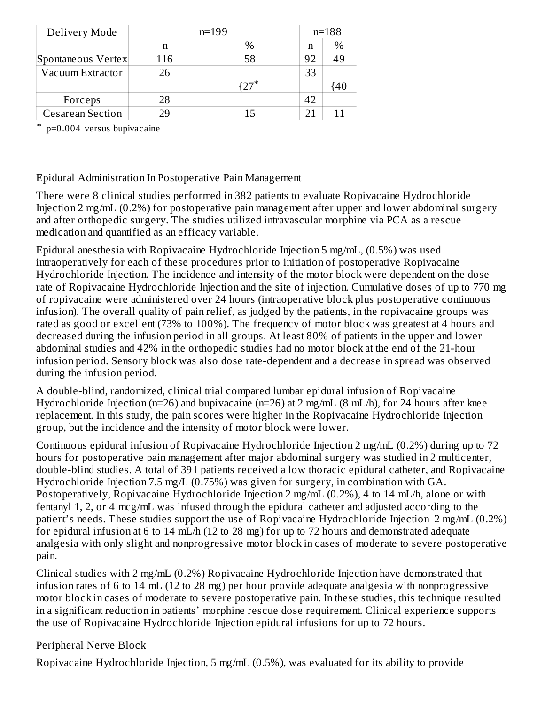| Delivery Mode           | $n=199$ |         |    | $n = 188$ |  |  |
|-------------------------|---------|---------|----|-----------|--|--|
|                         | n       | $\%$    | n  | $\%$      |  |  |
| Spontaneous Vertex      | 116     | 58      | 92 | 49        |  |  |
| Vacuum Extractor        | 26      |         | 33 |           |  |  |
|                         |         | $[27^*$ |    |           |  |  |
| Forceps                 | 28      |         | 42 |           |  |  |
| <b>Cesarean Section</b> | 29      | 15      | 21 |           |  |  |

\* p=0.004 versus bupivacaine

### Epidural Administration In Postoperative Pain Management

There were 8 clinical studies performed in 382 patients to evaluate Ropivacaine Hydrochloride Injection 2 mg/mL (0.2%) for postoperative pain management after upper and lower abdominal surgery and after orthopedic surgery. The studies utilized intravascular morphine via PCA as a rescue medication and quantified as an efficacy variable.

Epidural anesthesia with Ropivacaine Hydrochloride Injection 5 mg/mL, (0.5%) was used intraoperatively for each of these procedures prior to initiation of postoperative Ropivacaine Hydrochloride Injection. The incidence and intensity of the motor block were dependent on the dose rate of Ropivacaine Hydrochloride Injection and the site of injection. Cumulative doses of up to 770 mg of ropivacaine were administered over 24 hours (intraoperative block plus postoperative continuous infusion). The overall quality of pain relief, as judged by the patients, in the ropivacaine groups was rated as good or excellent (73% to 100%). The frequency of motor block was greatest at 4 hours and decreased during the infusion period in all groups. At least 80% of patients in the upper and lower abdominal studies and 42% in the orthopedic studies had no motor block at the end of the 21-hour infusion period. Sensory block was also dose rate-dependent and a decrease in spread was observed during the infusion period.

A double-blind, randomized, clinical trial compared lumbar epidural infusion of Ropivacaine Hydrochloride Injection (n=26) and bupivacaine (n=26) at 2 mg/mL (8 mL/h), for 24 hours after knee replacement. In this study, the pain scores were higher in the Ropivacaine Hydrochloride Injection group, but the incidence and the intensity of motor block were lower.

Continuous epidural infusion of Ropivacaine Hydrochloride Injection 2 mg/mL (0.2%) during up to 72 hours for postoperative pain management after major abdominal surgery was studied in 2 multicenter, double-blind studies. A total of 391 patients received a low thoracic epidural catheter, and Ropivacaine Hydrochloride Injection 7.5 mg/L (0.75%) was given for surgery, in combination with GA. Postoperatively, Ropivacaine Hydrochloride Injection 2 mg/mL (0.2%), 4 to 14 mL/h, alone or with fentanyl 1, 2, or 4 mcg/mL was infused through the epidural catheter and adjusted according to the patient's needs. These studies support the use of Ropivacaine Hydrochloride Injection 2 mg/mL (0.2%) for epidural infusion at 6 to 14 mL/h (12 to 28 mg) for up to 72 hours and demonstrated adequate analgesia with only slight and nonprogressive motor block in cases of moderate to severe postoperative pain.

Clinical studies with 2 mg/mL (0.2%) Ropivacaine Hydrochloride Injection have demonstrated that infusion rates of 6 to 14 mL (12 to 28 mg) per hour provide adequate analgesia with nonprogressive motor block in cases of moderate to severe postoperative pain. In these studies, this technique resulted in a significant reduction in patients' morphine rescue dose requirement. Clinical experience supports the use of Ropivacaine Hydrochloride Injection epidural infusions for up to 72 hours.

### Peripheral Nerve Block

Ropivacaine Hydrochloride Injection, 5 mg/mL (0.5%), was evaluated for its ability to provide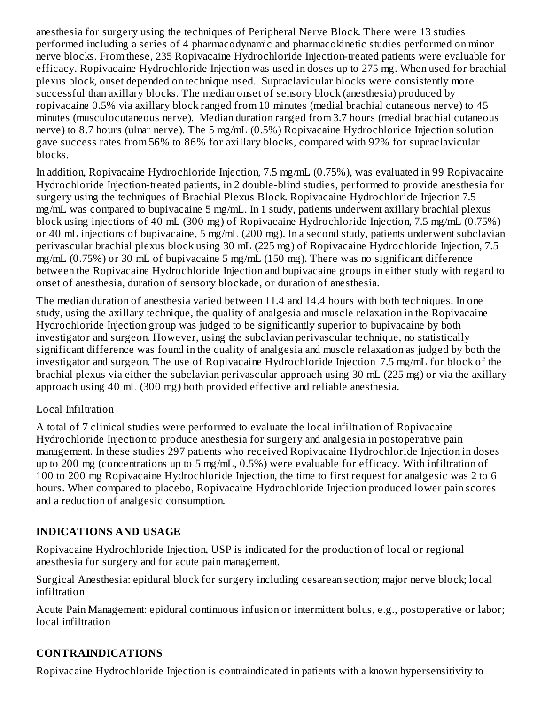anesthesia for surgery using the techniques of Peripheral Nerve Block. There were 13 studies performed including a series of 4 pharmacodynamic and pharmacokinetic studies performed on minor nerve blocks. From these, 235 Ropivacaine Hydrochloride Injection-treated patients were evaluable for efficacy. Ropivacaine Hydrochloride Injection was used in doses up to 275 mg. When used for brachial plexus block, onset depended on technique used. Supraclavicular blocks were consistently more successful than axillary blocks. The median onset of sensory block (anesthesia) produced by ropivacaine 0.5% via axillary block ranged from 10 minutes (medial brachial cutaneous nerve) to 45 minutes (musculocutaneous nerve). Median duration ranged from 3.7 hours (medial brachial cutaneous nerve) to 8.7 hours (ulnar nerve). The 5 mg/mL (0.5%) Ropivacaine Hydrochloride Injection solution gave success rates from 56% to 86% for axillary blocks, compared with 92% for supraclavicular blocks.

In addition, Ropivacaine Hydrochloride Injection, 7.5 mg/mL (0.75%), was evaluated in 99 Ropivacaine Hydrochloride Injection-treated patients, in 2 double-blind studies, performed to provide anesthesia for surgery using the techniques of Brachial Plexus Block. Ropivacaine Hydrochloride Injection 7.5 mg/mL was compared to bupivacaine 5 mg/mL. In 1 study, patients underwent axillary brachial plexus block using injections of 40 mL (300 mg) of Ropivacaine Hydrochloride Injection, 7.5 mg/mL (0.75%) or 40 mL injections of bupivacaine, 5 mg/mL (200 mg). In a second study, patients underwent subclavian perivascular brachial plexus block using 30 mL (225 mg) of Ropivacaine Hydrochloride Injection, 7.5 mg/mL (0.75%) or 30 mL of bupivacaine 5 mg/mL (150 mg). There was no significant difference between the Ropivacaine Hydrochloride Injection and bupivacaine groups in either study with regard to onset of anesthesia, duration of sensory blockade, or duration of anesthesia.

The median duration of anesthesia varied between 11.4 and 14.4 hours with both techniques. In one study, using the axillary technique, the quality of analgesia and muscle relaxation in the Ropivacaine Hydrochloride Injection group was judged to be significantly superior to bupivacaine by both investigator and surgeon. However, using the subclavian perivascular technique, no statistically significant difference was found in the quality of analgesia and muscle relaxation as judged by both the investigator and surgeon. The use of Ropivacaine Hydrochloride Injection 7.5 mg/mL for block of the brachial plexus via either the subclavian perivascular approach using 30 mL (225 mg) or via the axillary approach using 40 mL (300 mg) both provided effective and reliable anesthesia.

## Local Infiltration

A total of 7 clinical studies were performed to evaluate the local infiltration of Ropivacaine Hydrochloride Injection to produce anesthesia for surgery and analgesia in postoperative pain management. In these studies 297 patients who received Ropivacaine Hydrochloride Injection in doses up to 200 mg (concentrations up to 5 mg/mL, 0.5%) were evaluable for efficacy. With infiltration of 100 to 200 mg Ropivacaine Hydrochloride Injection, the time to first request for analgesic was 2 to 6 hours. When compared to placebo, Ropivacaine Hydrochloride Injection produced lower pain scores and a reduction of analgesic consumption.

## **INDICATIONS AND USAGE**

Ropivacaine Hydrochloride Injection, USP is indicated for the production of local or regional anesthesia for surgery and for acute pain management.

Surgical Anesthesia: epidural block for surgery including cesarean section; major nerve block; local infiltration

Acute Pain Management: epidural continuous infusion or intermittent bolus, e.g., postoperative or labor; local infiltration

# **CONTRAINDICATIONS**

Ropivacaine Hydrochloride Injection is contraindicated in patients with a known hypersensitivity to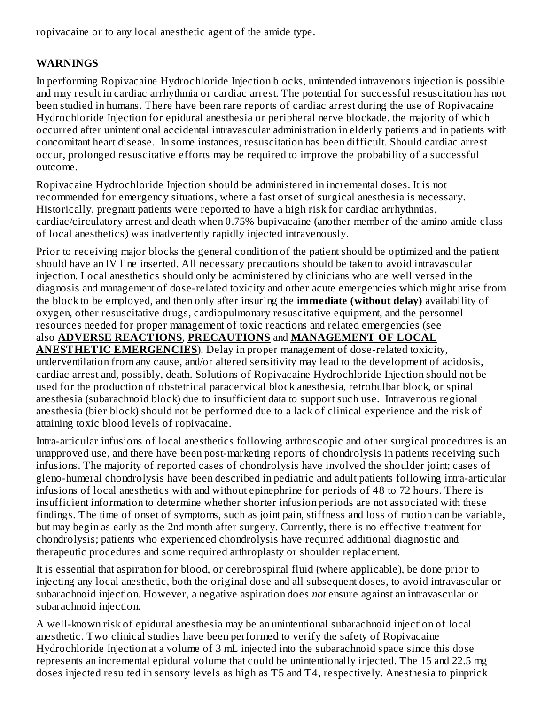ropivacaine or to any local anesthetic agent of the amide type.

## **WARNINGS**

In performing Ropivacaine Hydrochloride Injection blocks, unintended intravenous injection is possible and may result in cardiac arrhythmia or cardiac arrest. The potential for successful resuscitation has not been studied in humans. There have been rare reports of cardiac arrest during the use of Ropivacaine Hydrochloride Injection for epidural anesthesia or peripheral nerve blockade, the majority of which occurred after unintentional accidental intravascular administration in elderly patients and in patients with concomitant heart disease. In some instances, resuscitation has been difficult. Should cardiac arrest occur, prolonged resuscitative efforts may be required to improve the probability of a successful outcome.

Ropivacaine Hydrochloride Injection should be administered in incremental doses. It is not recommended for emergency situations, where a fast onset of surgical anesthesia is necessary. Historically, pregnant patients were reported to have a high risk for cardiac arrhythmias, cardiac/circulatory arrest and death when 0.75% bupivacaine (another member of the amino amide class of local anesthetics) was inadvertently rapidly injected intravenously.

Prior to receiving major blocks the general condition of the patient should be optimized and the patient should have an IV line inserted. All necessary precautions should be taken to avoid intravascular injection. Local anesthetics should only be administered by clinicians who are well versed in the diagnosis and management of dose-related toxicity and other acute emergencies which might arise from the block to be employed, and then only after insuring the **immediate (without delay)** availability of oxygen, other resuscitative drugs, cardiopulmonary resuscitative equipment, and the personnel resources needed for proper management of toxic reactions and related emergencies (see also **ADVERSE REACTIONS**, **PRECAUTIONS** and **MANAGEMENT OF LOCAL**

**ANESTHETIC EMERGENCIES**). Delay in proper management of dose-related toxicity, underventilation from any cause, and/or altered sensitivity may lead to the development of acidosis, cardiac arrest and, possibly, death. Solutions of Ropivacaine Hydrochloride Injection should not be used for the production of obstetrical paracervical block anesthesia, retrobulbar block, or spinal anesthesia (subarachnoid block) due to insufficient data to support such use. Intravenous regional anesthesia (bier block) should not be performed due to a lack of clinical experience and the risk of attaining toxic blood levels of ropivacaine.

Intra-articular infusions of local anesthetics following arthroscopic and other surgical procedures is an unapproved use, and there have been post-marketing reports of chondrolysis in patients receiving such infusions. The majority of reported cases of chondrolysis have involved the shoulder joint; cases of gleno-humeral chondrolysis have been described in pediatric and adult patients following intra-articular infusions of local anesthetics with and without epinephrine for periods of 48 to 72 hours. There is insufficient information to determine whether shorter infusion periods are not associated with these findings. The time of onset of symptoms, such as joint pain, stiffness and loss of motion can be variable, but may begin as early as the 2nd month after surgery. Currently, there is no effective treatment for chondrolysis; patients who experienced chondrolysis have required additional diagnostic and therapeutic procedures and some required arthroplasty or shoulder replacement.

It is essential that aspiration for blood, or cerebrospinal fluid (where applicable), be done prior to injecting any local anesthetic, both the original dose and all subsequent doses, to avoid intravascular or subarachnoid injection. However, a negative aspiration does *not* ensure against an intravascular or subarachnoid injection.

A well-known risk of epidural anesthesia may be an unintentional subarachnoid injection of local anesthetic. Two clinical studies have been performed to verify the safety of Ropivacaine Hydrochloride Injection at a volume of 3 mL injected into the subarachnoid space since this dose represents an incremental epidural volume that could be unintentionally injected. The 15 and 22.5 mg doses injected resulted in sensory levels as high as T5 and T4, respectively. Anesthesia to pinprick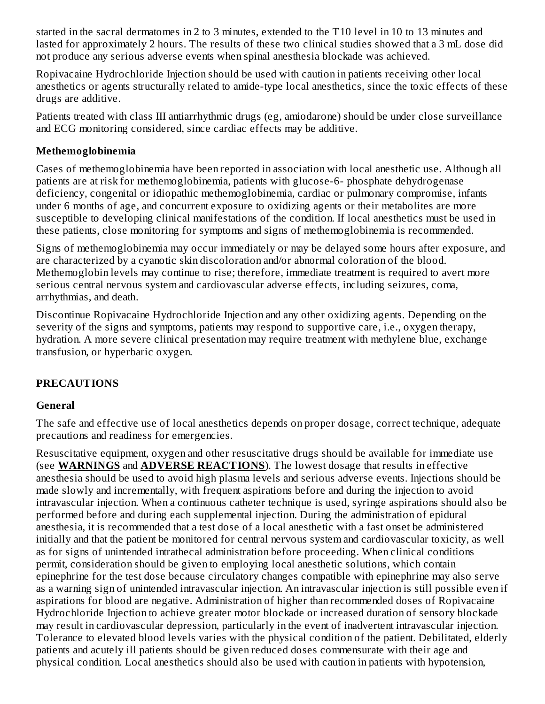started in the sacral dermatomes in 2 to 3 minutes, extended to the T10 level in 10 to 13 minutes and lasted for approximately 2 hours. The results of these two clinical studies showed that a 3 mL dose did not produce any serious adverse events when spinal anesthesia blockade was achieved.

Ropivacaine Hydrochloride Injection should be used with caution in patients receiving other local anesthetics or agents structurally related to amide-type local anesthetics, since the toxic effects of these drugs are additive.

Patients treated with class III antiarrhythmic drugs (eg, amiodarone) should be under close surveillance and ECG monitoring considered, since cardiac effects may be additive.

### **Methemoglobinemia**

Cases of methemoglobinemia have been reported in association with local anesthetic use. Although all patients are at risk for methemoglobinemia, patients with glucose-6- phosphate dehydrogenase deficiency, congenital or idiopathic methemoglobinemia, cardiac or pulmonary compromise, infants under 6 months of age, and concurrent exposure to oxidizing agents or their metabolites are more susceptible to developing clinical manifestations of the condition. If local anesthetics must be used in these patients, close monitoring for symptoms and signs of methemoglobinemia is recommended.

Signs of methemoglobinemia may occur immediately or may be delayed some hours after exposure, and are characterized by a cyanotic skin discoloration and/or abnormal coloration of the blood. Methemoglobin levels may continue to rise; therefore, immediate treatment is required to avert more serious central nervous system and cardiovascular adverse effects, including seizures, coma, arrhythmias, and death.

Discontinue Ropivacaine Hydrochloride Injection and any other oxidizing agents. Depending on the severity of the signs and symptoms, patients may respond to supportive care, i.e., oxygen therapy, hydration. A more severe clinical presentation may require treatment with methylene blue, exchange transfusion, or hyperbaric oxygen.

## **PRECAUTIONS**

### **General**

The safe and effective use of local anesthetics depends on proper dosage, correct technique, adequate precautions and readiness for emergencies.

Resuscitative equipment, oxygen and other resuscitative drugs should be available for immediate use (see **WARNINGS** and **ADVERSE REACTIONS**). The lowest dosage that results in effective anesthesia should be used to avoid high plasma levels and serious adverse events. Injections should be made slowly and incrementally, with frequent aspirations before and during the injection to avoid intravascular injection. When a continuous catheter technique is used, syringe aspirations should also be performed before and during each supplemental injection. During the administration of epidural anesthesia, it is recommended that a test dose of a local anesthetic with a fast onset be administered initially and that the patient be monitored for central nervous system and cardiovascular toxicity, as well as for signs of unintended intrathecal administration before proceeding. When clinical conditions permit, consideration should be given to employing local anesthetic solutions, which contain epinephrine for the test dose because circulatory changes compatible with epinephrine may also serve as a warning sign of unintended intravascular injection. An intravascular injection is still possible even if aspirations for blood are negative. Administration of higher than recommended doses of Ropivacaine Hydrochloride Injection to achieve greater motor blockade or increased duration of sensory blockade may result in cardiovascular depression, particularly in the event of inadvertent intravascular injection. Tolerance to elevated blood levels varies with the physical condition of the patient. Debilitated, elderly patients and acutely ill patients should be given reduced doses commensurate with their age and physical condition. Local anesthetics should also be used with caution in patients with hypotension,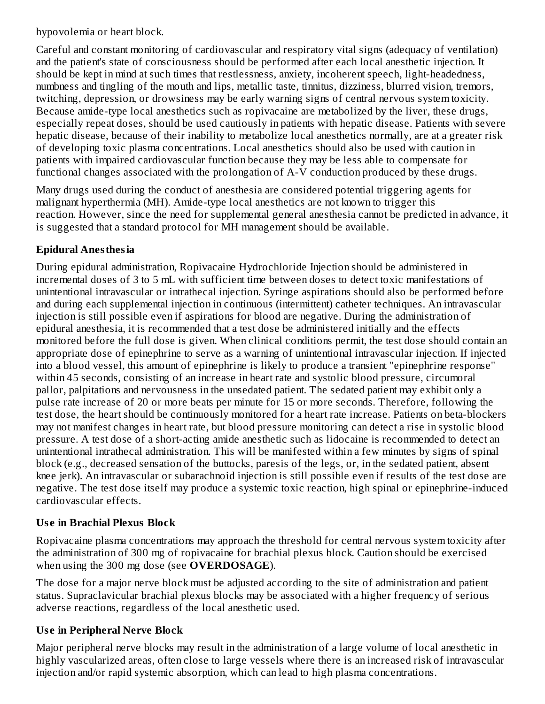hypovolemia or heart block.

Careful and constant monitoring of cardiovascular and respiratory vital signs (adequacy of ventilation) and the patient's state of consciousness should be performed after each local anesthetic injection. It should be kept in mind at such times that restlessness, anxiety, incoherent speech, light-headedness, numbness and tingling of the mouth and lips, metallic taste, tinnitus, dizziness, blurred vision, tremors, twitching, depression, or drowsiness may be early warning signs of central nervous system toxicity. Because amide-type local anesthetics such as ropivacaine are metabolized by the liver, these drugs, especially repeat doses, should be used cautiously in patients with hepatic disease. Patients with severe hepatic disease, because of their inability to metabolize local anesthetics normally, are at a greater risk of developing toxic plasma concentrations. Local anesthetics should also be used with caution in patients with impaired cardiovascular function because they may be less able to compensate for functional changes associated with the prolongation of A-V conduction produced by these drugs.

Many drugs used during the conduct of anesthesia are considered potential triggering agents for malignant hyperthermia (MH). Amide-type local anesthetics are not known to trigger this reaction. However, since the need for supplemental general anesthesia cannot be predicted in advance, it is suggested that a standard protocol for MH management should be available.

## **Epidural Anesthesia**

During epidural administration, Ropivacaine Hydrochloride Injection should be administered in incremental doses of 3 to 5 mL with sufficient time between doses to detect toxic manifestations of unintentional intravascular or intrathecal injection. Syringe aspirations should also be performed before and during each supplemental injection in continuous (intermittent) catheter techniques. An intravascular injection is still possible even if aspirations for blood are negative. During the administration of epidural anesthesia, it is recommended that a test dose be administered initially and the effects monitored before the full dose is given. When clinical conditions permit, the test dose should contain an appropriate dose of epinephrine to serve as a warning of unintentional intravascular injection. If injected into a blood vessel, this amount of epinephrine is likely to produce a transient "epinephrine response" within 45 seconds, consisting of an increase in heart rate and systolic blood pressure, circumoral pallor, palpitations and nervousness in the unsedated patient. The sedated patient may exhibit only a pulse rate increase of 20 or more beats per minute for 15 or more seconds. Therefore, following the test dose, the heart should be continuously monitored for a heart rate increase. Patients on beta-blockers may not manifest changes in heart rate, but blood pressure monitoring can detect a rise in systolic blood pressure. A test dose of a short-acting amide anesthetic such as lidocaine is recommended to detect an unintentional intrathecal administration. This will be manifested within a few minutes by signs of spinal block (e.g., decreased sensation of the buttocks, paresis of the legs, or, in the sedated patient, absent knee jerk). An intravascular or subarachnoid injection is still possible even if results of the test dose are negative. The test dose itself may produce a systemic toxic reaction, high spinal or epinephrine-induced cardiovascular effects.

## **Us e in Brachial Plexus Block**

Ropivacaine plasma concentrations may approach the threshold for central nervous system toxicity after the administration of 300 mg of ropivacaine for brachial plexus block. Caution should be exercised when using the 300 mg dose (see **OVERDOSAGE**).

The dose for a major nerve block must be adjusted according to the site of administration and patient status. Supraclavicular brachial plexus blocks may be associated with a higher frequency of serious adverse reactions, regardless of the local anesthetic used.

## **Us e in Peripheral Nerve Block**

Major peripheral nerve blocks may result in the administration of a large volume of local anesthetic in highly vascularized areas, often close to large vessels where there is an increased risk of intravascular injection and/or rapid systemic absorption, which can lead to high plasma concentrations.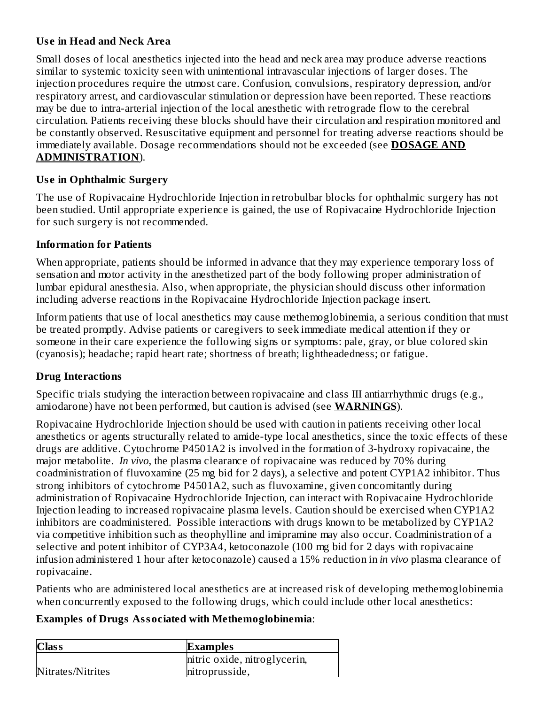## **Us e in Head and Neck Area**

Small doses of local anesthetics injected into the head and neck area may produce adverse reactions similar to systemic toxicity seen with unintentional intravascular injections of larger doses. The injection procedures require the utmost care. Confusion, convulsions, respiratory depression, and/or respiratory arrest, and cardiovascular stimulation or depression have been reported. These reactions may be due to intra-arterial injection of the local anesthetic with retrograde flow to the cerebral circulation. Patients receiving these blocks should have their circulation and respiration monitored and be constantly observed. Resuscitative equipment and personnel for treating adverse reactions should be immediately available. Dosage recommendations should not be exceeded (see **DOSAGE AND ADMINISTRATION**).

## **Us e in Ophthalmic Surgery**

The use of Ropivacaine Hydrochloride Injection in retrobulbar blocks for ophthalmic surgery has not been studied. Until appropriate experience is gained, the use of Ropivacaine Hydrochloride Injection for such surgery is not recommended.

## **Information for Patients**

When appropriate, patients should be informed in advance that they may experience temporary loss of sensation and motor activity in the anesthetized part of the body following proper administration of lumbar epidural anesthesia. Also, when appropriate, the physician should discuss other information including adverse reactions in the Ropivacaine Hydrochloride Injection package insert.

Inform patients that use of local anesthetics may cause methemoglobinemia, a serious condition that must be treated promptly. Advise patients or caregivers to seek immediate medical attention if they or someone in their care experience the following signs or symptoms: pale, gray, or blue colored skin (cyanosis); headache; rapid heart rate; shortness of breath; lightheadedness; or fatigue.

## **Drug Interactions**

Specific trials studying the interaction between ropivacaine and class III antiarrhythmic drugs (e.g., amiodarone) have not been performed, but caution is advised (see **WARNINGS**).

Ropivacaine Hydrochloride Injection should be used with caution in patients receiving other local anesthetics or agents structurally related to amide-type local anesthetics, since the toxic effects of these drugs are additive. Cytochrome P4501A2 is involved in the formation of 3-hydroxy ropivacaine, the major metabolite. *In vivo*, the plasma clearance of ropivacaine was reduced by 70% during coadministration of fluvoxamine (25 mg bid for 2 days), a selective and potent CYP1A2 inhibitor. Thus strong inhibitors of cytochrome P4501A2, such as fluvoxamine, given concomitantly during administration of Ropivacaine Hydrochloride Injection, can interact with Ropivacaine Hydrochloride Injection leading to increased ropivacaine plasma levels. Caution should be exercised when CYP1A2 inhibitors are coadministered. Possible interactions with drugs known to be metabolized by CYP1A2 via competitive inhibition such as theophylline and imipramine may also occur. Coadministration of a selective and potent inhibitor of CYP3A4, ketoconazole (100 mg bid for 2 days with ropivacaine infusion administered 1 hour after ketoconazole) caused a 15% reduction in *in vivo* plasma clearance of ropivacaine.

Patients who are administered local anesthetics are at increased risk of developing methemoglobinemia when concurrently exposed to the following drugs, which could include other local anesthetics:

## **Examples of Drugs Associated with Methemoglobinemia**:

| <b>Class</b>      | <b>Examples</b>              |
|-------------------|------------------------------|
|                   | nitric oxide, nitroglycerin, |
| Nitrates/Nitrites | nitroprusside,               |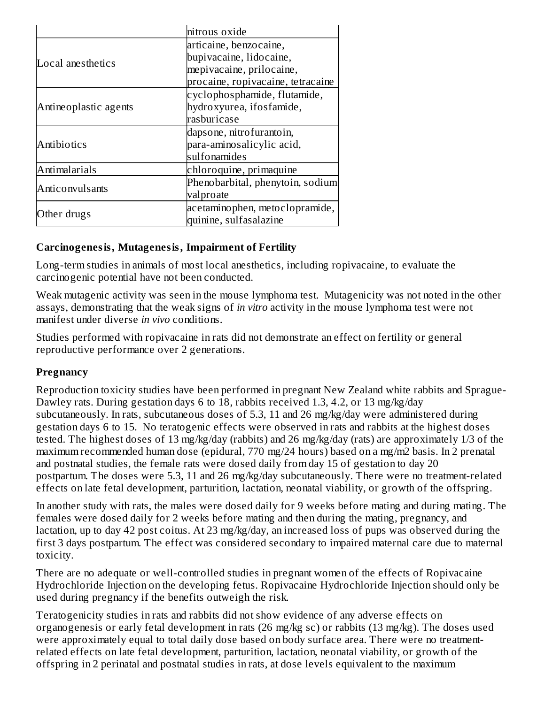|                       | nitrous oxide                     |  |  |  |
|-----------------------|-----------------------------------|--|--|--|
|                       | articaine, benzocaine,            |  |  |  |
| Local anesthetics     | bupivacaine, lidocaine,           |  |  |  |
|                       | mepivacaine, prilocaine,          |  |  |  |
|                       | procaine, ropivacaine, tetracaine |  |  |  |
|                       | cyclophosphamide, flutamide,      |  |  |  |
| Antineoplastic agents | hydroxyurea, ifosfamide,          |  |  |  |
|                       | rasburicase                       |  |  |  |
|                       | dapsone, nitrofurantoin,          |  |  |  |
| <b>Antibiotics</b>    | para-aminosalicylic acid,         |  |  |  |
|                       | sulfonamides                      |  |  |  |
| Antimalarials         | chloroquine, primaquine           |  |  |  |
| Anticonvulsants       | Phenobarbital, phenytoin, sodium  |  |  |  |
|                       | valproate                         |  |  |  |
|                       | acetaminophen, metoclopramide,    |  |  |  |
| Other drugs           | quinine, sulfasalazine            |  |  |  |

## **Carcinogenesis, Mutagenesis, Impairment of Fertility**

Long-term studies in animals of most local anesthetics, including ropivacaine, to evaluate the carcinogenic potential have not been conducted.

Weak mutagenic activity was seen in the mouse lymphoma test. Mutagenicity was not noted in the other assays, demonstrating that the weak signs of *in vitro* activity in the mouse lymphoma test were not manifest under diverse *in vivo* conditions.

Studies performed with ropivacaine in rats did not demonstrate an effect on fertility or general reproductive performance over 2 generations.

## **Pregnancy**

Reproduction toxicity studies have been performed in pregnant New Zealand white rabbits and Sprague-Dawley rats. During gestation days 6 to 18, rabbits received 1.3, 4.2, or 13 mg/kg/day subcutaneously. In rats, subcutaneous doses of 5.3, 11 and 26 mg/kg/day were administered during gestation days 6 to 15. No teratogenic effects were observed in rats and rabbits at the highest doses tested. The highest doses of 13 mg/kg/day (rabbits) and 26 mg/kg/day (rats) are approximately 1/3 of the maximum recommended human dose (epidural, 770 mg/24 hours) based on a mg/m2 basis. In 2 prenatal and postnatal studies, the female rats were dosed daily from day 15 of gestation to day 20 postpartum. The doses were 5.3, 11 and 26 mg/kg/day subcutaneously. There were no treatment-related effects on late fetal development, parturition, lactation, neonatal viability, or growth of the offspring.

In another study with rats, the males were dosed daily for 9 weeks before mating and during mating. The females were dosed daily for 2 weeks before mating and then during the mating, pregnancy, and lactation, up to day 42 post coitus. At 23 mg/kg/day, an increased loss of pups was observed during the first 3 days postpartum. The effect was considered secondary to impaired maternal care due to maternal toxicity.

There are no adequate or well-controlled studies in pregnant women of the effects of Ropivacaine Hydrochloride Injection on the developing fetus. Ropivacaine Hydrochloride Injection should only be used during pregnancy if the benefits outweigh the risk.

Teratogenicity studies in rats and rabbits did not show evidence of any adverse effects on organogenesis or early fetal development in rats (26 mg/kg sc) or rabbits (13 mg/kg). The doses used were approximately equal to total daily dose based on body surface area. There were no treatmentrelated effects on late fetal development, parturition, lactation, neonatal viability, or growth of the offspring in 2 perinatal and postnatal studies in rats, at dose levels equivalent to the maximum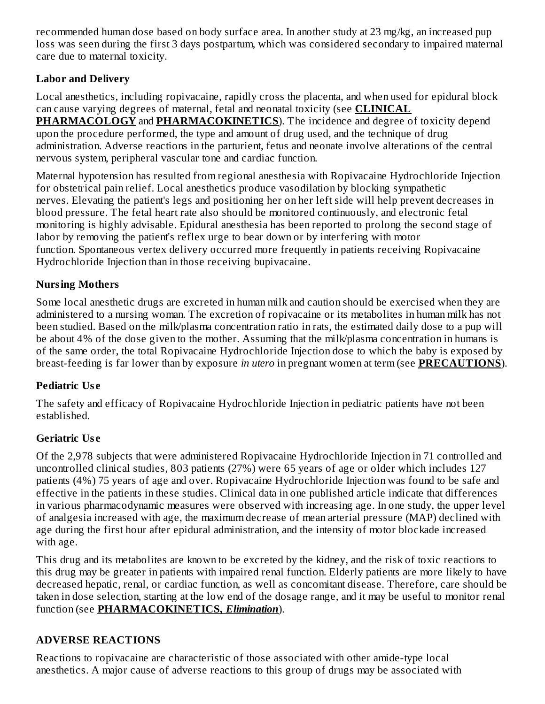recommended human dose based on body surface area. In another study at 23 mg/kg, an increased pup loss was seen during the first 3 days postpartum, which was considered secondary to impaired maternal care due to maternal toxicity.

## **Labor and Delivery**

Local anesthetics, including ropivacaine, rapidly cross the placenta, and when used for epidural block can cause varying degrees of maternal, fetal and neonatal toxicity (see **CLINICAL PHARMACOLOGY** and **PHARMACOKINETICS**). The incidence and degree of toxicity depend upon the procedure performed, the type and amount of drug used, and the technique of drug administration. Adverse reactions in the parturient, fetus and neonate involve alterations of the central nervous system, peripheral vascular tone and cardiac function.

Maternal hypotension has resulted from regional anesthesia with Ropivacaine Hydrochloride Injection for obstetrical pain relief. Local anesthetics produce vasodilation by blocking sympathetic nerves. Elevating the patient's legs and positioning her on her left side will help prevent decreases in blood pressure. The fetal heart rate also should be monitored continuously, and electronic fetal monitoring is highly advisable. Epidural anesthesia has been reported to prolong the second stage of labor by removing the patient's reflex urge to bear down or by interfering with motor function. Spontaneous vertex delivery occurred more frequently in patients receiving Ropivacaine Hydrochloride Injection than in those receiving bupivacaine.

# **Nursing Mothers**

Some local anesthetic drugs are excreted in human milk and caution should be exercised when they are administered to a nursing woman. The excretion of ropivacaine or its metabolites in human milk has not been studied. Based on the milk/plasma concentration ratio in rats, the estimated daily dose to a pup will be about 4% of the dose given to the mother. Assuming that the milk/plasma concentration in humans is of the same order, the total Ropivacaine Hydrochloride Injection dose to which the baby is exposed by breast-feeding is far lower than by exposure *in utero* in pregnant women at term (see **PRECAUTIONS**).

# **Pediatric Us e**

The safety and efficacy of Ropivacaine Hydrochloride Injection in pediatric patients have not been established.

# **Geriatric Us e**

Of the 2,978 subjects that were administered Ropivacaine Hydrochloride Injection in 71 controlled and uncontrolled clinical studies, 803 patients (27%) were 65 years of age or older which includes 127 patients (4%) 75 years of age and over. Ropivacaine Hydrochloride Injection was found to be safe and effective in the patients in these studies. Clinical data in one published article indicate that differences in various pharmacodynamic measures were observed with increasing age. In one study, the upper level of analgesia increased with age, the maximum decrease of mean arterial pressure (MAP) declined with age during the first hour after epidural administration, and the intensity of motor blockade increased with age.

This drug and its metabolites are known to be excreted by the kidney, and the risk of toxic reactions to this drug may be greater in patients with impaired renal function. Elderly patients are more likely to have decreased hepatic, renal, or cardiac function, as well as concomitant disease. Therefore, care should be taken in dose selection, starting at the low end of the dosage range, and it may be useful to monitor renal function (see **PHARMACOKINETICS,** *Elimination*).

# **ADVERSE REACTIONS**

Reactions to ropivacaine are characteristic of those associated with other amide-type local anesthetics. A major cause of adverse reactions to this group of drugs may be associated with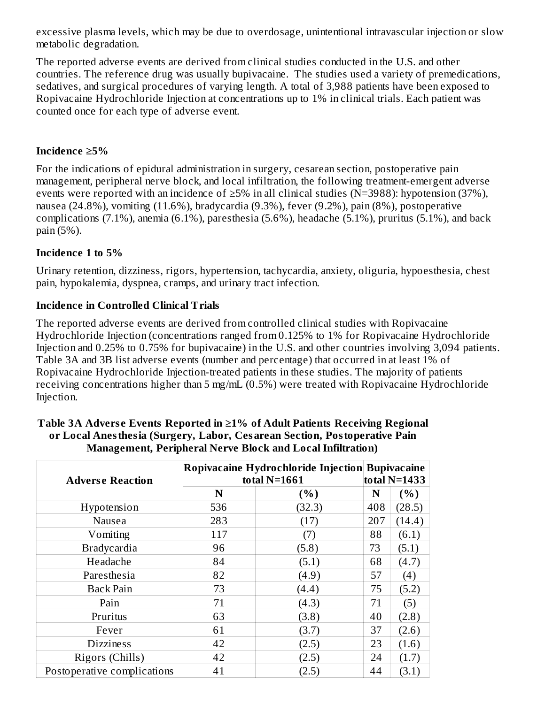excessive plasma levels, which may be due to overdosage, unintentional intravascular injection or slow metabolic degradation.

The reported adverse events are derived from clinical studies conducted in the U.S. and other countries. The reference drug was usually bupivacaine. The studies used a variety of premedications, sedatives, and surgical procedures of varying length. A total of 3,988 patients have been exposed to Ropivacaine Hydrochloride Injection at concentrations up to 1% in clinical trials. Each patient was counted once for each type of adverse event.

### **Incidence ≥5%**

For the indications of epidural administration in surgery, cesarean section, postoperative pain management, peripheral nerve block, and local infiltration, the following treatment-emergent adverse events were reported with an incidence of  $\geq$ 5% in all clinical studies (N=3988): hypotension (37%), nausea (24.8%), vomiting (11.6%), bradycardia (9.3%), fever (9.2%), pain (8%), postoperative complications (7.1%), anemia (6.1%), paresthesia (5.6%), headache (5.1%), pruritus (5.1%), and back pain (5%).

### **Incidence 1 to 5%**

Urinary retention, dizziness, rigors, hypertension, tachycardia, anxiety, oliguria, hypoesthesia, chest pain, hypokalemia, dyspnea, cramps, and urinary tract infection.

## **Incidence in Controlled Clinical Trials**

The reported adverse events are derived from controlled clinical studies with Ropivacaine Hydrochloride Injection (concentrations ranged from 0.125% to 1% for Ropivacaine Hydrochloride Injection and 0.25% to 0.75% for bupivacaine) in the U.S. and other countries involving 3,094 patients. Table 3A and 3B list adverse events (number and percentage) that occurred in at least 1% of Ropivacaine Hydrochloride Injection-treated patients in these studies. The majority of patients receiving concentrations higher than 5 mg/mL (0.5%) were treated with Ropivacaine Hydrochloride Injection.

| <b>Adverse Reaction</b>     | Ropivacaine Hydrochloride Injection Bupivacaine<br>total $N=1661$ | total $N=1433$  |     |        |
|-----------------------------|-------------------------------------------------------------------|-----------------|-----|--------|
|                             | N                                                                 | $\mathcal{O}_0$ | N   | ( %)   |
| Hypotension                 | 536                                                               | (32.3)          | 408 | (28.5) |
| Nausea                      | 283                                                               | (17)            | 207 | (14.4) |
| Vomiting                    | 117                                                               | 71              | 88  | (6.1)  |
| <b>Bradycardia</b>          | 96                                                                | (5.8)           | 73  | (5.1)  |
| Headache                    | 84                                                                | (5.1)           | 68  | (4.7)  |
| Paresthesia                 | 82                                                                | (4.9)           | 57  | (4)    |
| <b>Back Pain</b>            | 73                                                                | (4.4)           | 75  | (5.2)  |
| Pain                        | 71                                                                | (4.3)           | 71  | (5)    |
| Pruritus                    | 63                                                                | (3.8)           | 40  | (2.8)  |
| Fever                       | 61                                                                | (3.7)           | 37  | (2.6)  |
| <b>Dizziness</b>            | 42                                                                | (2.5)           | 23  | (1.6)  |
| Rigors (Chills)             | 42                                                                | (2.5)           | 24  | (1.7)  |
| Postoperative complications | 41                                                                | (2.5)           | 44  | (3.1)  |

### **Table 3A Advers e Events Reported in ≥1% of Adult Patients Receiving Regional or Local Anesthesia (Surgery, Labor, Cesarean Section, Postoperative Pain Management, Peripheral Nerve Block and Local Infiltration)**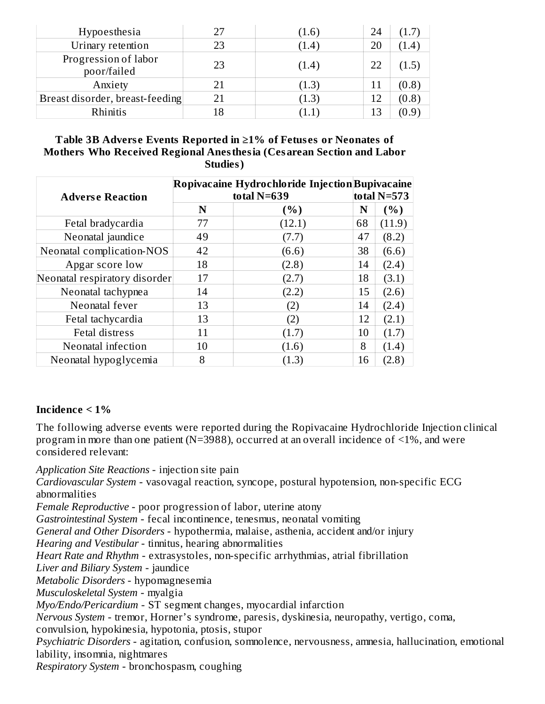| Hypoesthesia                        | 27 | (1.6) | 24 |                                     |
|-------------------------------------|----|-------|----|-------------------------------------|
| Urinary retention                   | 23 | (1.4) | 20 |                                     |
| Progression of labor<br>poor/failed | 23 | (1.4) | 22 | (1.5)                               |
| Anxiety                             |    | (1.3) |    | (0.8)                               |
| Breast disorder, breast-feeding     |    | (1.3) |    | $\hspace{0.1cm} 0.8 \hspace{0.1cm}$ |
| Rhinitis                            | 18 | 1.1   |    |                                     |

#### **Table 3B Advers e Events Reported in ≥1% of Fetus es or Neonates of Mothers Who Received Regional Anesthesia (Cesarean Section and Labor Studies)**

| <b>Adverse Reaction</b>       | Ropivacaine Hydrochloride InjectionBupivacaine<br>total $N=639$ | total $N=573$ |    |        |
|-------------------------------|-----------------------------------------------------------------|---------------|----|--------|
|                               | N                                                               | (%)           | N  | ( %)   |
| Fetal bradycardia             | 77                                                              | (12.1)        | 68 | (11.9) |
| Neonatal jaundice             | 49                                                              | (7.7)         | 47 | (8.2)  |
| Neonatal complication-NOS     | 42                                                              | (6.6)         | 38 | (6.6)  |
| Apgar score low               | 18                                                              | (2.8)         | 14 | (2.4)  |
| Neonatal respiratory disorder | 17                                                              | (2.7)         | 18 | (3.1)  |
| Neonatal tachypnea            | 14                                                              | (2.2)         | 15 | (2.6)  |
| Neonatal fever                | 13                                                              | (2)           | 14 | (2.4)  |
| Fetal tachycardia             | 13                                                              | (2)           | 12 | (2.1)  |
| Fetal distress                | 11                                                              | (1.7)         | 10 | (1.7)  |
| Neonatal infection            | 10                                                              | (1.6)         | 8  | (1.4)  |
| Neonatal hypoglycemia         | 8                                                               | (1.3)         | 16 | (2.8)  |

## **Incidence < 1%**

The following adverse events were reported during the Ropivacaine Hydrochloride Injection clinical program in more than one patient (N=3988), occurred at an overall incidence of <1%, and were considered relevant:

*Application Site Reactions* - injection site pain *Cardiovascular System* - vasovagal reaction, syncope, postural hypotension, non-specific ECG abnormalities *Female Reproductive* - poor progression of labor, uterine atony *Gastrointestinal System* - fecal incontinence, tenesmus, neonatal vomiting *General and Other Disorders* - hypothermia, malaise, asthenia, accident and/or injury *Hearing and Vestibular* - tinnitus, hearing abnormalities *Heart Rate and Rhythm* - extrasystoles, non-specific arrhythmias, atrial fibrillation *Liver and Biliary System* - jaundice *Metabolic Disorders* - hypomagnesemia *Musculoskeletal System* - myalgia *Myo/Endo/Pericardium* - ST segment changes, myocardial infarction *Nervous System* - tremor, Horner's syndrome, paresis, dyskinesia, neuropathy, vertigo, coma, convulsion, hypokinesia, hypotonia, ptosis, stupor *Psychiatric Disorders* - agitation, confusion, somnolence, nervousness, amnesia, hallucination, emotional lability, insomnia, nightmares *Respiratory System* - bronchospasm, coughing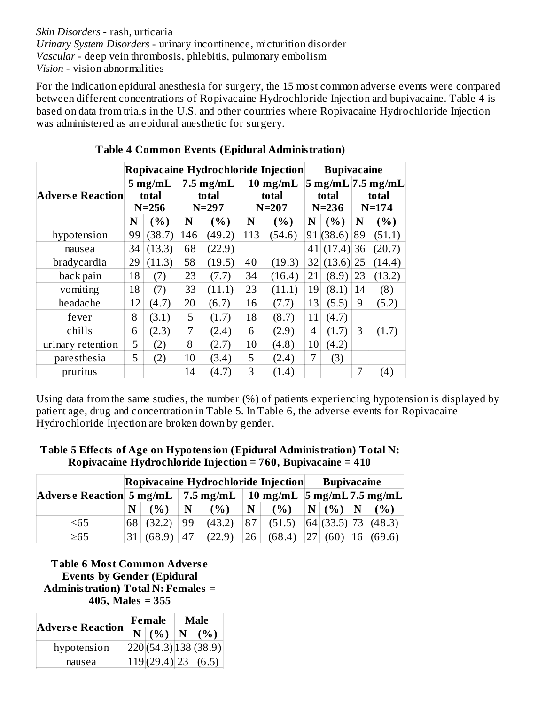### *Skin Disorders* - rash, urticaria *Urinary System Disorders* - urinary incontinence, micturition disorder *Vascular* - deep vein thrombosis, phlebitis, pulmonary embolism *Vision* - vision abnormalities

For the indication epidural anesthesia for surgery, the 15 most common adverse events were compared between different concentrations of Ropivacaine Hydrochloride Injection and bupivacaine. Table 4 is based on data from trials in the U.S. and other countries where Ropivacaine Hydrochloride Injection was administered as an epidural anesthetic for surgery.

|                         | Ropivacaine Hydrochloride Injection            |        |                                         |        |                                        |        | <b>Bupivacaine</b> |          |                                                             |                 |
|-------------------------|------------------------------------------------|--------|-----------------------------------------|--------|----------------------------------------|--------|--------------------|----------|-------------------------------------------------------------|-----------------|
| <b>Adverse Reaction</b> | $5 \text{ mg/mL}$<br><b>total</b><br>$N = 256$ |        | $7.5 \text{ mg/mL}$<br>total<br>$N=297$ |        | $10 \text{ mg/mL}$<br>total<br>$N=207$ |        | total<br>$N = 236$ |          | $ 5 \text{ mg/mL} 7.5 \text{ mg/mL} $<br>total<br>$N = 174$ |                 |
|                         | N                                              | (%)    | N                                       | %      | N                                      | $(\%)$ | N                  | (%)      | N                                                           | $\mathcal{O}_0$ |
| hypotension             | 99                                             | (38.7) | 146                                     | (49.2) | 113                                    | (54.6) |                    | 91(38.6) | 89                                                          | (51.1)          |
| nausea                  | 34                                             | (13.3) | 68                                      | (22.9) |                                        |        | 41                 | (17.4)   | 36                                                          | (20.7)          |
| bradycardia             | 29                                             | (11.3) | 58                                      | (19.5) | 40                                     | (19.3) | 32                 | (13.6)   | 25                                                          | (14.4)          |
| back pain               | 18                                             | (7)    | 23                                      | (7.7)  | 34                                     | (16.4) | 21                 | (8.9)    | 23                                                          | (13.2)          |
| vomiting                | 18                                             | (7)    | 33                                      | (11.1) | 23                                     | (11.1) | 19                 | (8.1)    | 14                                                          | (8)             |
| headache                | 12                                             | (4.7)  | 20                                      | (6.7)  | 16                                     | (7.7)  | 13                 | (5.5)    | 9                                                           | (5.2)           |
| fever                   | 8                                              | (3.1)  | 5                                       | (1.7)  | 18                                     | (8.7)  | 11                 | (4.7)    |                                                             |                 |
| chills                  | 6                                              | (2.3)  | 7                                       | (2.4)  | 6                                      | (2.9)  | 4                  | (1.7)    | 3                                                           | (1.7)           |
| urinary retention       | 5                                              | (2)    | 8                                       | (2.7)  | 10                                     | (4.8)  | 10                 | (4.2)    |                                                             |                 |
| paresthesia             | 5                                              | (2)    | 10                                      | (3.4)  | 5                                      | (2.4)  | 7                  | (3)      |                                                             |                 |
| pruritus                |                                                |        | 14                                      | (4.7)  | 3                                      | (1.4)  |                    |          | 7                                                           | (4)             |

## **Table 4 Common Events (Epidural Administration)**

Using data from the same studies, the number (%) of patients experiencing hypotension is displayed by patient age, drug and concentration in Table 5. In Table 6, the adverse events for Ropivacaine Hydrochloride Injection are broken down by gender.

| Table 5 Effects of Age on Hypotension (Epidural Administration) Total N: |
|--------------------------------------------------------------------------|
| Ropivacaine Hydrochloride Injection = $760$ , Bupivacaine = $410$        |

|                                                | Ropivacaine Hydrochloride Injection |        |    |               |                                  |        | <b>Bupivacaine</b> |               |    |        |
|------------------------------------------------|-------------------------------------|--------|----|---------------|----------------------------------|--------|--------------------|---------------|----|--------|
| Adverse Reaction $5 \text{ mg/mL}$   7.5 mg/mL |                                     |        |    |               | 10 mg/mL $ 5$ mg/mL $ 7.5$ mg/mL |        |                    |               |    |        |
|                                                |                                     | (%)    | N  | $\frac{9}{6}$ | N                                | (%)    | N                  | $\frac{9}{0}$ |    | (%)    |
| <65                                            | 68                                  | (32.2) | 99 | (43.2)        | 87                               | (51.5) |                    | $ 64 $ (33.5) | 73 | (48.3) |
| ≥65                                            |                                     | (68.9) | 47 | (22.9)        | 26                               | (68.4) | דר                 | ΄60           |    | (69.6) |

**Table 6 Most Common Advers e Events by Gender (Epidural Administration) Total N: Females = 405, Males = 355**

|                         |  | Female                  | <b>Male</b> |                     |  |
|-------------------------|--|-------------------------|-------------|---------------------|--|
| <b>Adverse Reaction</b> |  | (% )                    |             | (% )                |  |
| hypotension             |  |                         |             | 220(54.3) 138(38.9) |  |
| nausea                  |  | $ 119 $ (29.4) 23 (6.5) |             |                     |  |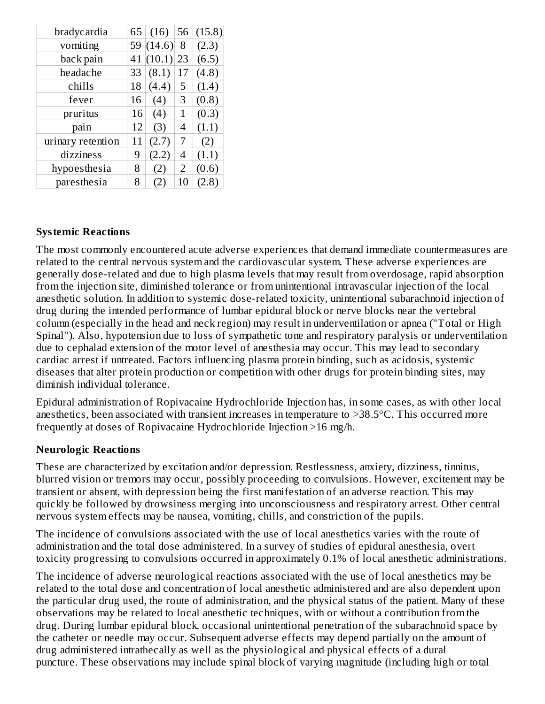| bradycardia       | 65 | (16)              | 56 | (15.8) |
|-------------------|----|-------------------|----|--------|
| vomiting          | 59 | (14.6)            | 8  | (2.3)  |
| back pain         | 41 | (10.1)            | 23 | (6.5)  |
| headache          | 33 | (8.1)             | 17 | (4.8)  |
| chills            | 18 | (4.4)             | 5  | (1.4)  |
| fever             | 16 | (4)               | 3  | (0.8)  |
| pruritus          | 16 | (4)               | 1  | (0.3)  |
| pain              | 12 | (3)               | 4  | (1.1)  |
| urinary retention | 11 | (2.7)             | 7  | (2)    |
| dizziness         | 9  | (2.2)             | 4  | (1.1)  |
| hypoesthesia      | 8  | $\left( 2\right)$ | 2  | (0.6)  |
| paresthesia       | 8  | 2                 | 10 | (2.8)  |

### **Systemic Reactions**

The most commonly encountered acute adverse experiences that demand immediate countermeasures are related to the central nervous system and the cardiovascular system. These adverse experiences are generally dose-related and due to high plasma levels that may result from overdosage, rapid absorption from the injection site, diminished tolerance or from unintentional intravascular injection of the local anesthetic solution. In addition to systemic dose-related toxicity, unintentional subarachnoid injection of drug during the intended performance of lumbar epidural block or nerve blocks near the vertebral column (especially in the head and neck region) may result in underventilation or apnea ("Total or High Spinal"). Also, hypotension due to loss of sympathetic tone and respiratory paralysis or underventilation due to cephalad extension of the motor level of anesthesia may occur. This may lead to secondary cardiac arrest if untreated. Factors influencing plasma protein binding, such as acidosis, systemic diseases that alter protein production or competition with other drugs for protein binding sites, may diminish individual tolerance.

Epidural administration of Ropivacaine Hydrochloride Injection has, in some cases, as with other local anesthetics, been associated with transient increases in temperature to >38.5°C. This occurred more frequently at doses of Ropivacaine Hydrochloride Injection >16 mg/h.

## **Neurologic Reactions**

These are characterized by excitation and/or depression. Restlessness, anxiety, dizziness, tinnitus, blurred vision or tremors may occur, possibly proceeding to convulsions. However, excitement may be transient or absent, with depression being the first manifestation of an adverse reaction. This may quickly be followed by drowsiness merging into unconsciousness and respiratory arrest. Other central nervous system effects may be nausea, vomiting, chills, and constriction of the pupils.

The incidence of convulsions associated with the use of local anesthetics varies with the route of administration and the total dose administered. In a survey of studies of epidural anesthesia, overt toxicity progressing to convulsions occurred in approximately 0.1% of local anesthetic administrations.

The incidence of adverse neurological reactions associated with the use of local anesthetics may be related to the total dose and concentration of local anesthetic administered and are also dependent upon the particular drug used, the route of administration, and the physical status of the patient. Many of these observations may be related to local anesthetic techniques, with or without a contribution from the drug. During lumbar epidural block, occasional unintentional penetration of the subarachnoid space by the catheter or needle may occur. Subsequent adverse effects may depend partially on the amount of drug administered intrathecally as well as the physiological and physical effects of a dural puncture. These observations may include spinal block of varying magnitude (including high or total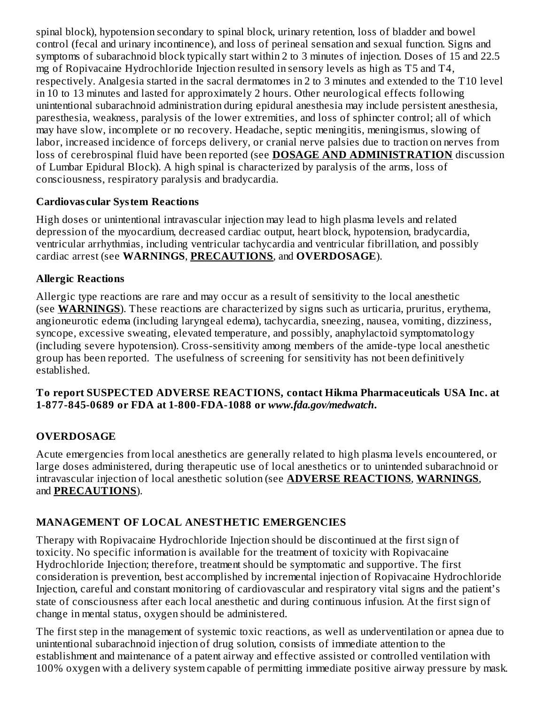spinal block), hypotension secondary to spinal block, urinary retention, loss of bladder and bowel control (fecal and urinary incontinence), and loss of perineal sensation and sexual function. Signs and symptoms of subarachnoid block typically start within 2 to 3 minutes of injection. Doses of 15 and 22.5 mg of Ropivacaine Hydrochloride Injection resulted in sensory levels as high as T5 and T4, respectively. Analgesia started in the sacral dermatomes in 2 to 3 minutes and extended to the T10 level in 10 to 13 minutes and lasted for approximately 2 hours. Other neurological effects following unintentional subarachnoid administration during epidural anesthesia may include persistent anesthesia, paresthesia, weakness, paralysis of the lower extremities, and loss of sphincter control; all of which may have slow, incomplete or no recovery. Headache, septic meningitis, meningismus, slowing of labor, increased incidence of forceps delivery, or cranial nerve palsies due to traction on nerves from loss of cerebrospinal fluid have been reported (see **DOSAGE AND ADMINISTRATION** discussion of Lumbar Epidural Block). A high spinal is characterized by paralysis of the arms, loss of consciousness, respiratory paralysis and bradycardia.

## **Cardiovas cular System Reactions**

High doses or unintentional intravascular injection may lead to high plasma levels and related depression of the myocardium, decreased cardiac output, heart block, hypotension, bradycardia, ventricular arrhythmias, including ventricular tachycardia and ventricular fibrillation, and possibly cardiac arrest (see **WARNINGS**, **PRECAUTIONS**, and **OVERDOSAGE**).

## **Allergic Reactions**

Allergic type reactions are rare and may occur as a result of sensitivity to the local anesthetic (see **WARNINGS**). These reactions are characterized by signs such as urticaria, pruritus, erythema, angioneurotic edema (including laryngeal edema), tachycardia, sneezing, nausea, vomiting, dizziness, syncope, excessive sweating, elevated temperature, and possibly, anaphylactoid symptomatology (including severe hypotension). Cross-sensitivity among members of the amide-type local anesthetic group has been reported. The usefulness of screening for sensitivity has not been definitively established.

## **To report SUSPECTED ADVERSE REACTIONS, contact Hikma Pharmaceuticals USA Inc. at 1-877-845-0689 or FDA at 1-800-FDA-1088 or** *www.fda.gov/medwatch***.**

# **OVERDOSAGE**

Acute emergencies from local anesthetics are generally related to high plasma levels encountered, or large doses administered, during therapeutic use of local anesthetics or to unintended subarachnoid or intravascular injection of local anesthetic solution (see **ADVERSE REACTIONS**, **WARNINGS**, and **PRECAUTIONS**).

# **MANAGEMENT OF LOCAL ANESTHETIC EMERGENCIES**

Therapy with Ropivacaine Hydrochloride Injection should be discontinued at the first sign of toxicity. No specific information is available for the treatment of toxicity with Ropivacaine Hydrochloride Injection; therefore, treatment should be symptomatic and supportive. The first consideration is prevention, best accomplished by incremental injection of Ropivacaine Hydrochloride Injection, careful and constant monitoring of cardiovascular and respiratory vital signs and the patient's state of consciousness after each local anesthetic and during continuous infusion. At the first sign of change in mental status, oxygen should be administered.

The first step in the management of systemic toxic reactions, as well as underventilation or apnea due to unintentional subarachnoid injection of drug solution, consists of immediate attention to the establishment and maintenance of a patent airway and effective assisted or controlled ventilation with 100% oxygen with a delivery system capable of permitting immediate positive airway pressure by mask.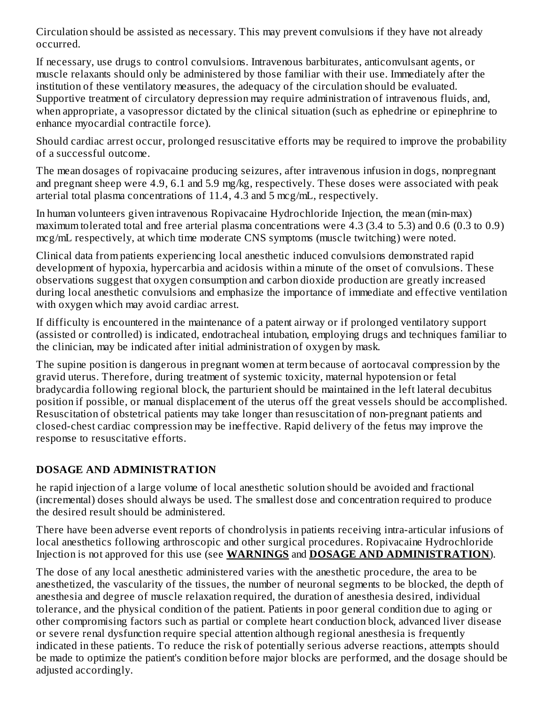Circulation should be assisted as necessary. This may prevent convulsions if they have not already occurred.

If necessary, use drugs to control convulsions. Intravenous barbiturates, anticonvulsant agents, or muscle relaxants should only be administered by those familiar with their use. Immediately after the institution of these ventilatory measures, the adequacy of the circulation should be evaluated. Supportive treatment of circulatory depression may require administration of intravenous fluids, and, when appropriate, a vasopressor dictated by the clinical situation (such as ephedrine or epinephrine to enhance myocardial contractile force).

Should cardiac arrest occur, prolonged resuscitative efforts may be required to improve the probability of a successful outcome.

The mean dosages of ropivacaine producing seizures, after intravenous infusion in dogs, nonpregnant and pregnant sheep were 4.9, 6.1 and 5.9 mg/kg, respectively. These doses were associated with peak arterial total plasma concentrations of 11.4, 4.3 and 5 mcg/mL, respectively.

In human volunteers given intravenous Ropivacaine Hydrochloride Injection, the mean (min-max) maximum tolerated total and free arterial plasma concentrations were 4.3 (3.4 to 5.3) and 0.6 (0.3 to 0.9) mcg/mL respectively, at which time moderate CNS symptoms (muscle twitching) were noted.

Clinical data from patients experiencing local anesthetic induced convulsions demonstrated rapid development of hypoxia, hypercarbia and acidosis within a minute of the onset of convulsions. These observations suggest that oxygen consumption and carbon dioxide production are greatly increased during local anesthetic convulsions and emphasize the importance of immediate and effective ventilation with oxygen which may avoid cardiac arrest.

If difficulty is encountered in the maintenance of a patent airway or if prolonged ventilatory support (assisted or controlled) is indicated, endotracheal intubation, employing drugs and techniques familiar to the clinician, may be indicated after initial administration of oxygen by mask.

The supine position is dangerous in pregnant women at term because of aortocaval compression by the gravid uterus. Therefore, during treatment of systemic toxicity, maternal hypotension or fetal bradycardia following regional block, the parturient should be maintained in the left lateral decubitus position if possible, or manual displacement of the uterus off the great vessels should be accomplished. Resuscitation of obstetrical patients may take longer than resuscitation of non-pregnant patients and closed-chest cardiac compression may be ineffective. Rapid delivery of the fetus may improve the response to resuscitative efforts.

## **DOSAGE AND ADMINISTRATION**

he rapid injection of a large volume of local anesthetic solution should be avoided and fractional (incremental) doses should always be used. The smallest dose and concentration required to produce the desired result should be administered.

There have been adverse event reports of chondrolysis in patients receiving intra-articular infusions of local anesthetics following arthroscopic and other surgical procedures. Ropivacaine Hydrochloride Injection is not approved for this use (see **WARNINGS** and **DOSAGE AND ADMINISTRATION**).

The dose of any local anesthetic administered varies with the anesthetic procedure, the area to be anesthetized, the vascularity of the tissues, the number of neuronal segments to be blocked, the depth of anesthesia and degree of muscle relaxation required, the duration of anesthesia desired, individual tolerance, and the physical condition of the patient. Patients in poor general condition due to aging or other compromising factors such as partial or complete heart conduction block, advanced liver disease or severe renal dysfunction require special attention although regional anesthesia is frequently indicated in these patients. To reduce the risk of potentially serious adverse reactions, attempts should be made to optimize the patient's condition before major blocks are performed, and the dosage should be adjusted accordingly.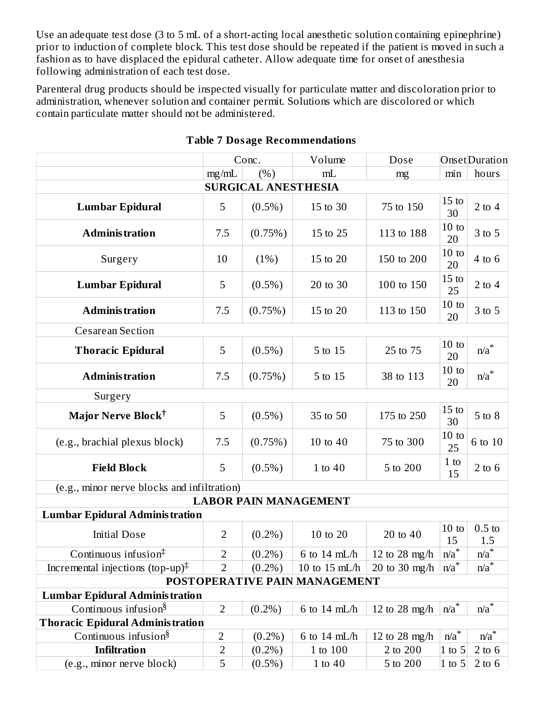Use an adequate test dose (3 to 5 mL of a short-acting local anesthetic solution containing epinephrine) prior to induction of complete block. This test dose should be repeated if the patient is moved in such a fashion as to have displaced the epidural catheter. Allow adequate time for onset of anesthesia following administration of each test dose.

Parenteral drug products should be inspected visually for particulate matter and discoloration prior to administration, whenever solution and container permit. Solutions which are discolored or which contain particulate matter should not be administered.

|                                                                             | Conc.                         |                            | Volume                       | Dose          |                        | OnsetDuration   |  |  |
|-----------------------------------------------------------------------------|-------------------------------|----------------------------|------------------------------|---------------|------------------------|-----------------|--|--|
|                                                                             | (%)<br>mg/mL                  |                            | mL                           | mg            | min                    | hours           |  |  |
|                                                                             |                               | <b>SURGICAL ANESTHESIA</b> |                              |               |                        |                 |  |  |
| <b>Lumbar Epidural</b>                                                      | 5                             | $(0.5\%)$                  | 15 to 30                     | 75 to 150     | $15$ to<br>30          | $2$ to $4$      |  |  |
| <b>Administration</b>                                                       | 7.5                           | (0.75%)                    | 15 to 25                     | 113 to 188    | $10$ to<br>20          | 3 to 5          |  |  |
| Surgery                                                                     | 10                            | (1%)                       | 15 to 20                     | 150 to 200    | $10$ to<br>20          | $4$ to $6$      |  |  |
| <b>Lumbar Epidural</b>                                                      | 5                             | $(0.5\%)$                  | 20 to 30                     | 100 to 150    | 15 <sub>to</sub><br>25 | $2$ to $4$      |  |  |
| <b>Administration</b>                                                       | 7.5                           | (0.75%)                    | 15 to 20                     | 113 to 150    | $10$ to<br>20          | 3 to 5          |  |  |
| <b>Cesarean Section</b>                                                     |                               |                            |                              |               |                        |                 |  |  |
| <b>Thoracic Epidural</b>                                                    | 5                             | $(0.5\%)$                  | 5 to 15                      | 25 to 75      | $10$ to<br>20          | $n/a^*$         |  |  |
| <b>Administration</b>                                                       | 7.5                           | (0.75%)                    | 5 to 15                      | 38 to 113     | $10$ to<br>20          | $n/a^*$         |  |  |
| Surgery                                                                     |                               |                            |                              |               |                        |                 |  |  |
| Major Nerve Block <sup>†</sup>                                              | 5                             | $(0.5\%)$                  | 35 to 50                     | 175 to 250    | 15 <sub>to</sub><br>30 | 5 to 8          |  |  |
| (e.g., brachial plexus block)                                               | 7.5                           | (0.75%)                    | 10 to 40                     | 75 to 300     | $10$ to<br>25          | 6 to 10         |  |  |
| <b>Field Block</b>                                                          | 5                             | $(0.5\%)$                  | 1 to 40                      | 5 to 200      | $1$ to<br>15           | $2$ to $6$      |  |  |
| (e.g., minor nerve blocks and infiltration)                                 |                               |                            |                              |               |                        |                 |  |  |
|                                                                             |                               |                            | <b>LABOR PAIN MANAGEMENT</b> |               |                        |                 |  |  |
| <b>Lumbar Epidural Administration</b>                                       |                               |                            |                              |               |                        |                 |  |  |
| <b>Initial Dose</b>                                                         | $\overline{2}$                | $(0.2\%)$                  | 10 to 20                     | 20 to 40      | $10$ to<br>15          | $0.5$ to<br>1.5 |  |  |
| Continuous infusion <sup>‡</sup>                                            | 2                             | $(0.2\%)$                  | 6 to 14 mL/h                 | 12 to 28 mg/h | $n/a^*$                | $n/a^*$         |  |  |
| Incremental injections (top-up) $\ddagger$                                  | $\overline{2}$                | $(0.2\%)$                  | 10 to 15 $mL/h$              | 20 to 30 mg/h | $n/a^*$                | $n/a^*$         |  |  |
|                                                                             | POSTOPERATIVE PAIN MANAGEMENT |                            |                              |               |                        |                 |  |  |
| <b>Lumbar Epidural Administration</b>                                       |                               |                            |                              |               | $n/a^*$                | $n/a^*$         |  |  |
| Continuous infusion <sup>§</sup><br><b>Thoracic Epidural Administration</b> | $\overline{2}$                | $(0.2\%)$                  | 6 to 14 mL/h                 | 12 to 28 mg/h |                        |                 |  |  |
| Continuous infusion <sup>§</sup>                                            | $\overline{2}$                | $(0.2\%)$                  | 6 to 14 mL/h                 | 12 to 28 mg/h | $n/a^*$                | $n/a^*$         |  |  |
| <b>Infiltration</b>                                                         | 2                             | $(0.2\%)$                  | 1 to 100                     | 2 to 200      | $1$ to $5$             | $2$ to $6$      |  |  |
| (e.g., minor nerve block)                                                   | 5                             | $(0.5\%)$                  | 1 to 40                      | 5 to 200      | $1$ to $5$             | $2$ to $6$      |  |  |

### **Table 7 Dosage Recommendations**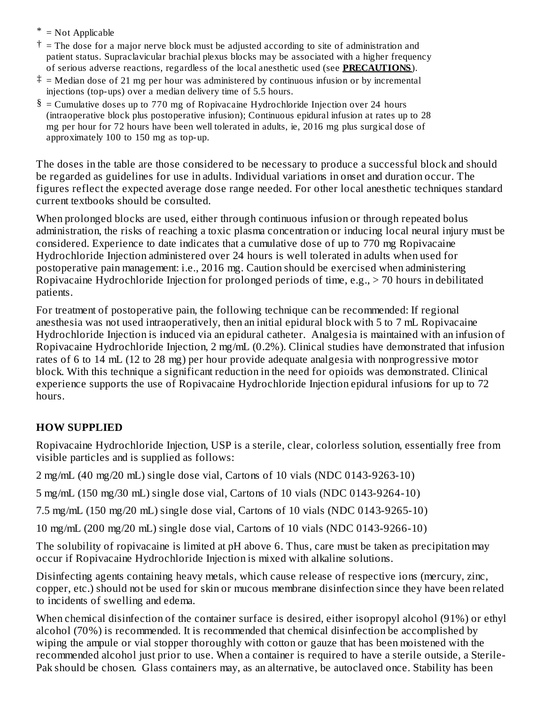- \* = Not Applicable
- $\dagger$  = The dose for a major nerve block must be adjusted according to site of administration and patient status. Supraclavicular brachial plexus blocks may be associated with a higher frequency of serious adverse reactions, regardless of the local anesthetic used (see **PRECAUTIONS**).
- $\ddagger$  = Median dose of 21 mg per hour was administered by continuous infusion or by incremental injections (top-ups) over a median delivery time of 5.5 hours.
- $\S =$  Cumulative doses up to 770 mg of Ropivacaine Hydrochloride Injection over 24 hours (intraoperative block plus postoperative infusion); Continuous epidural infusion at rates up to 28 mg per hour for 72 hours have been well tolerated in adults, ie, 2016 mg plus surgical dose of approximately 100 to 150 mg as top-up.

The doses in the table are those considered to be necessary to produce a successful block and should be regarded as guidelines for use in adults. Individual variations in onset and duration occur. The figures reflect the expected average dose range needed. For other local anesthetic techniques standard current textbooks should be consulted.

When prolonged blocks are used, either through continuous infusion or through repeated bolus administration, the risks of reaching a toxic plasma concentration or inducing local neural injury must be considered. Experience to date indicates that a cumulative dose of up to 770 mg Ropivacaine Hydrochloride Injection administered over 24 hours is well tolerated in adults when used for postoperative pain management: i.e., 2016 mg. Caution should be exercised when administering Ropivacaine Hydrochloride Injection for prolonged periods of time, e.g., > 70 hours in debilitated patients.

For treatment of postoperative pain, the following technique can be recommended: If regional anesthesia was not used intraoperatively, then an initial epidural block with 5 to 7 mL Ropivacaine Hydrochloride Injection is induced via an epidural catheter. Analgesia is maintained with an infusion of Ropivacaine Hydrochloride Injection, 2 mg/mL (0.2%). Clinical studies have demonstrated that infusion rates of 6 to 14 mL (12 to 28 mg) per hour provide adequate analgesia with nonprogressive motor block. With this technique a significant reduction in the need for opioids was demonstrated. Clinical experience supports the use of Ropivacaine Hydrochloride Injection epidural infusions for up to 72 hours.

## **HOW SUPPLIED**

Ropivacaine Hydrochloride Injection, USP is a sterile, clear, colorless solution, essentially free from visible particles and is supplied as follows:

2 mg/mL (40 mg/20 mL) single dose vial, Cartons of 10 vials (NDC 0143-9263-10)

5 mg/mL (150 mg/30 mL) single dose vial, Cartons of 10 vials (NDC 0143-9264-10)

7.5 mg/mL (150 mg/20 mL) single dose vial, Cartons of 10 vials (NDC 0143-9265-10)

10 mg/mL (200 mg/20 mL) single dose vial, Cartons of 10 vials (NDC 0143-9266-10)

The solubility of ropivacaine is limited at pH above 6. Thus, care must be taken as precipitation may occur if Ropivacaine Hydrochloride Injection is mixed with alkaline solutions.

Disinfecting agents containing heavy metals, which cause release of respective ions (mercury, zinc, copper, etc.) should not be used for skin or mucous membrane disinfection since they have been related to incidents of swelling and edema.

When chemical disinfection of the container surface is desired, either isopropyl alcohol (91%) or ethyl alcohol (70%) is recommended. It is recommended that chemical disinfection be accomplished by wiping the ampule or vial stopper thoroughly with cotton or gauze that has been moistened with the recommended alcohol just prior to use. When a container is required to have a sterile outside, a Sterile-Pak should be chosen. Glass containers may, as an alternative, be autoclaved once. Stability has been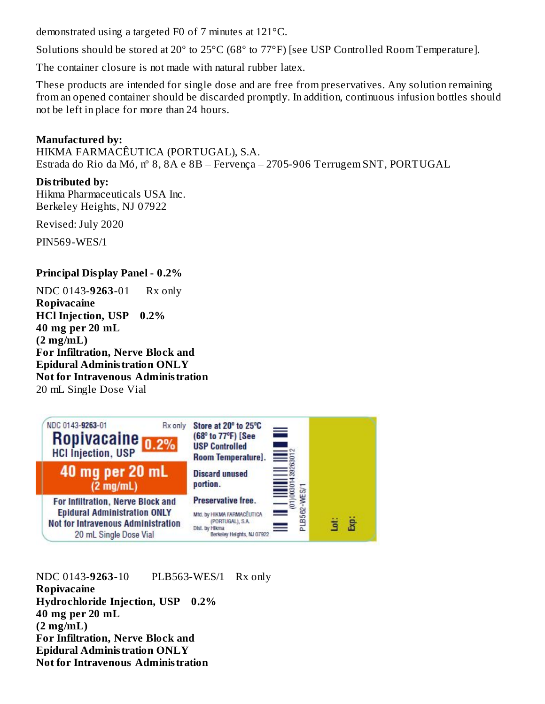demonstrated using a targeted F0 of 7 minutes at 121°C.

Solutions should be stored at 20º to 25°C (68º to 77°F) [see USP Controlled Room Temperature].

The container closure is not made with natural rubber latex.

These products are intended for single dose and are free from preservatives. Any solution remaining from an opened container should be discarded promptly. In addition, continuous infusion bottles should not be left in place for more than 24 hours.

### **Manufactured by:**

HIKMA FARMACÊUTICA (PORTUGAL), S.A. Estrada do Rio da Mó, nº 8, 8A e 8B – Fervença – 2705-906 Terrugem SNT, PORTUGAL

#### **Distributed by:**

Hikma Pharmaceuticals USA Inc. Berkeley Heights, NJ 07922

Revised: July 2020

PIN569-WES/1

### **Principal Display Panel - 0.2%**

NDC 0143-**9263**-01 Rx only **Ropivacaine HCl Injection, USP 0.2% 40 mg per 20 mL (2 mg/mL) For Infiltration, Nerve Block and Epidural Administration ONLY Not for Intravenous Administration** 20 mL Single Dose Vial



NDC 0143-**9263**-10 PLB563-WES/1 Rx only **Ropivacaine Hydrochloride Injection, USP 0.2% 40 mg per 20 mL (2 mg/mL) For Infiltration, Nerve Block and Epidural Administration ONLY Not for Intravenous Administration**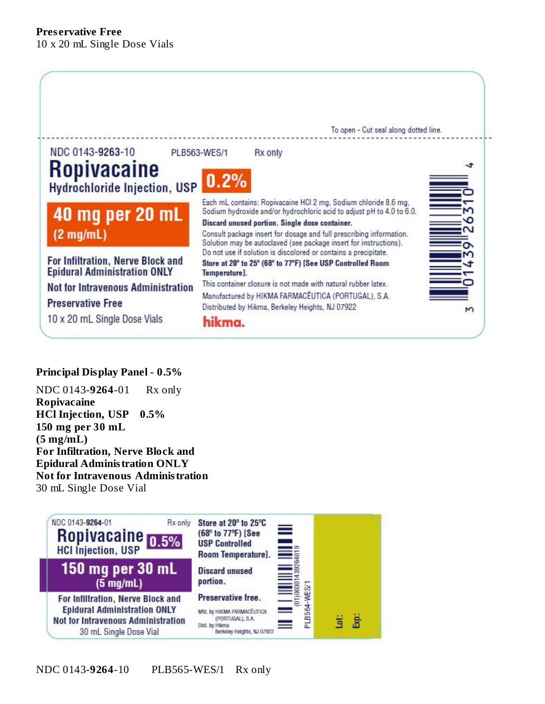#### **Pres ervative Free** 10 x 20 mL Single Dose Vials



#### **Principal Display Panel - 0.5%**

NDC 0143-**9264**-01 Rx only **Ropivacaine HCl Injection, USP 0.5% 150 mg per 30 mL (5 mg/mL) For Infiltration, Nerve Block and Epidural Administration ONLY Not for Intravenous Administration** 30 mL Single Dose Vial

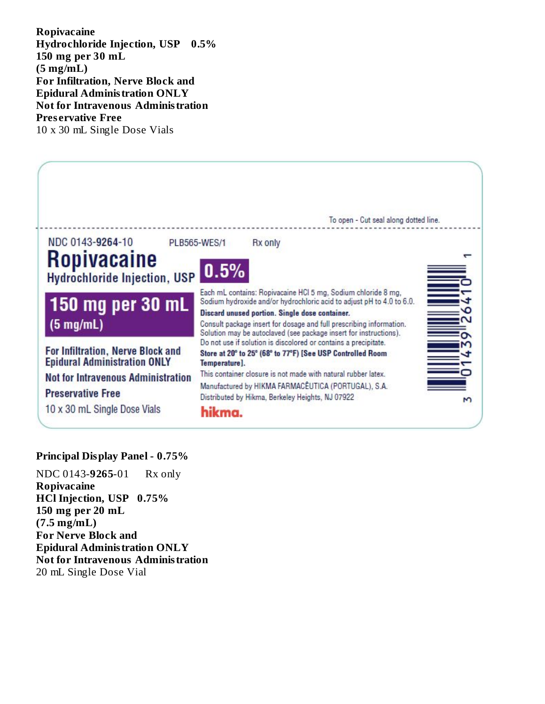**Ropivacaine Hydrochloride Injection, USP 0.5% 150 mg per 30 mL (5 mg/mL) For Infiltration, Nerve Block and Epidural Administration ONLY Not for Intravenous Administration Pres ervative Free** 10 x 30 mL Single Dose Vials



### **Principal Display Panel - 0.75%**

NDC 0143-**9265**-01 Rx only **Ropivacaine HCl Injection, USP 0.75% 150 mg per 20 mL (7.5 mg/mL) For Nerve Block and Epidural Administration ONLY Not for Intravenous Administration** 20 mL Single Dose Vial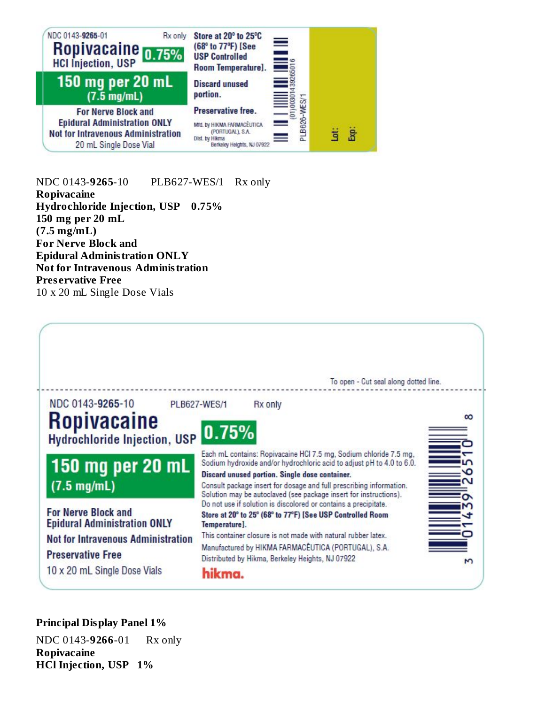

NDC 0143-**9265**-10 PLB627-WES/1 Rx only **Ropivacaine Hydrochloride Injection, USP 0.75% 150 mg per 20 mL (7.5 mg/mL) For Nerve Block and Epidural Administration ONLY Not for Intravenous Administration Pres ervative Free** 10 x 20 mL Single Dose Vials



### **Principal Display Panel 1%**

NDC 0143-**9266**-01 Rx only **Ropivacaine HCl Injection, USP 1%**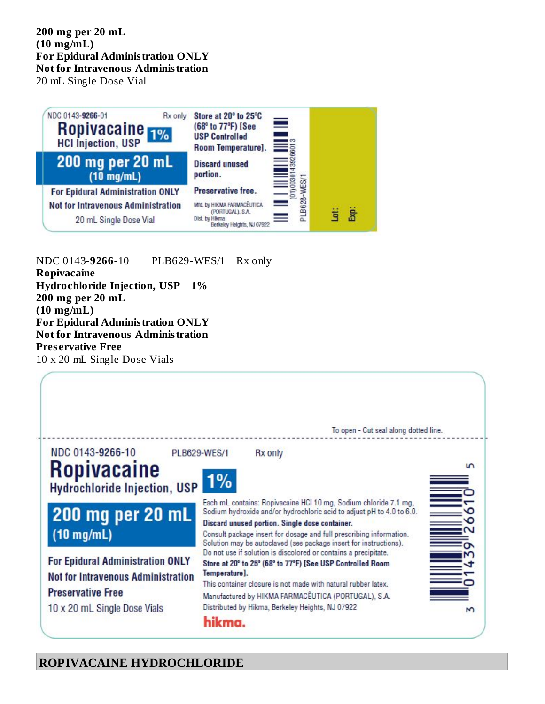**200 mg per 20 mL (10 mg/mL) For Epidural Administration ONLY Not for Intravenous Administration** 20 mL Single Dose Vial



NDC 0143-**9266**-10 PLB629-WES/1 Rx only **Ropivacaine Hydrochloride Injection, USP 1% 200 mg per 20 mL (10 mg/mL) For Epidural Administration ONLY Not for Intravenous Administration Pres ervative Free** 10 x 20 mL Single Dose Vials



## **ROPIVACAINE HYDROCHLORIDE**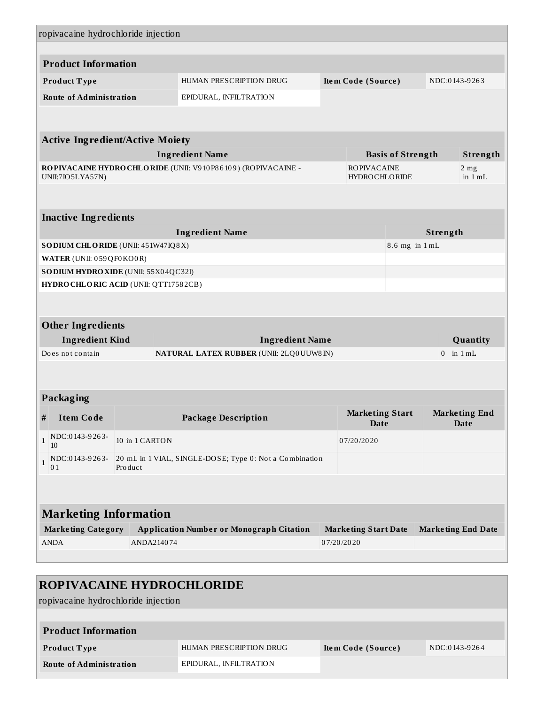| <b>Product Information</b><br>HUMAN PRESCRIPTION DRUG<br>NDC:0143-9263<br>Item Code (Source)<br>Product Type<br><b>Route of Administration</b><br>EPIDURAL, INFILTRATION<br><b>Active Ingredient/Active Moiety</b><br><b>Ingredient Name</b><br><b>Basis of Strength</b><br>ROPIVACAINE HYDROCHLORIDE (UNII: V910P86109) (ROPIVACAINE -<br><b>ROPIVACAINE</b><br>2 <sub>mg</sub><br><b>HYDROCHLORIDE</b><br>UNII:7IO5LYA57N)<br>in $1 mL$<br><b>Inactive Ingredients</b><br><b>Ingredient Name</b><br>Strength<br>SODIUM CHLORIDE (UNII: 451W47IQ8X)<br>8.6 mg in 1 mL<br>WATER (UNII: 059QF0KO0R)<br>SO DIUM HYDRO XIDE (UNII: 55X04QC32I)<br>HYDROCHLORIC ACID (UNII: QTT17582CB)<br><b>Other Ingredients</b><br><b>Ingredient Kind</b><br><b>Ingredient Name</b><br>Quantity<br><b>NATURAL LATEX RUBBER (UNII: 2LQ0UUW8IN)</b><br>$0$ in $1$ mL<br>Does not contain<br>Packaging<br><b>Marketing Start</b><br><b>Marketing End</b><br><b>Item Code</b><br><b>Package Description</b><br><b>Date</b><br>Date<br>NDC:0143-9263-<br>$\mathbf{1}$<br>10 in 1 CARTON<br>07/20/2020<br>10<br>20 mL in 1 VIAL, SINGLE-DOSE; Type 0: Not a Combination<br>NDC:0143-9263-<br>$\mathbf{1}$<br>Product<br>01<br><b>Marketing Information</b><br><b>Marketing Category</b><br><b>Application Number or Monograph Citation</b><br><b>Marketing Start Date</b><br><b>Marketing End Date</b><br><b>ANDA</b><br>ANDA214074<br>07/20/2020 | ropivacaine hydrochloride injection |  |  |  |          |
|-----------------------------------------------------------------------------------------------------------------------------------------------------------------------------------------------------------------------------------------------------------------------------------------------------------------------------------------------------------------------------------------------------------------------------------------------------------------------------------------------------------------------------------------------------------------------------------------------------------------------------------------------------------------------------------------------------------------------------------------------------------------------------------------------------------------------------------------------------------------------------------------------------------------------------------------------------------------------------------------------------------------------------------------------------------------------------------------------------------------------------------------------------------------------------------------------------------------------------------------------------------------------------------------------------------------------------------------------------------------------------------------------------------------------------|-------------------------------------|--|--|--|----------|
|                                                                                                                                                                                                                                                                                                                                                                                                                                                                                                                                                                                                                                                                                                                                                                                                                                                                                                                                                                                                                                                                                                                                                                                                                                                                                                                                                                                                                             |                                     |  |  |  |          |
|                                                                                                                                                                                                                                                                                                                                                                                                                                                                                                                                                                                                                                                                                                                                                                                                                                                                                                                                                                                                                                                                                                                                                                                                                                                                                                                                                                                                                             |                                     |  |  |  |          |
|                                                                                                                                                                                                                                                                                                                                                                                                                                                                                                                                                                                                                                                                                                                                                                                                                                                                                                                                                                                                                                                                                                                                                                                                                                                                                                                                                                                                                             |                                     |  |  |  |          |
|                                                                                                                                                                                                                                                                                                                                                                                                                                                                                                                                                                                                                                                                                                                                                                                                                                                                                                                                                                                                                                                                                                                                                                                                                                                                                                                                                                                                                             |                                     |  |  |  |          |
|                                                                                                                                                                                                                                                                                                                                                                                                                                                                                                                                                                                                                                                                                                                                                                                                                                                                                                                                                                                                                                                                                                                                                                                                                                                                                                                                                                                                                             |                                     |  |  |  |          |
|                                                                                                                                                                                                                                                                                                                                                                                                                                                                                                                                                                                                                                                                                                                                                                                                                                                                                                                                                                                                                                                                                                                                                                                                                                                                                                                                                                                                                             |                                     |  |  |  |          |
|                                                                                                                                                                                                                                                                                                                                                                                                                                                                                                                                                                                                                                                                                                                                                                                                                                                                                                                                                                                                                                                                                                                                                                                                                                                                                                                                                                                                                             |                                     |  |  |  | Strength |
|                                                                                                                                                                                                                                                                                                                                                                                                                                                                                                                                                                                                                                                                                                                                                                                                                                                                                                                                                                                                                                                                                                                                                                                                                                                                                                                                                                                                                             |                                     |  |  |  |          |
|                                                                                                                                                                                                                                                                                                                                                                                                                                                                                                                                                                                                                                                                                                                                                                                                                                                                                                                                                                                                                                                                                                                                                                                                                                                                                                                                                                                                                             |                                     |  |  |  |          |
|                                                                                                                                                                                                                                                                                                                                                                                                                                                                                                                                                                                                                                                                                                                                                                                                                                                                                                                                                                                                                                                                                                                                                                                                                                                                                                                                                                                                                             |                                     |  |  |  |          |
|                                                                                                                                                                                                                                                                                                                                                                                                                                                                                                                                                                                                                                                                                                                                                                                                                                                                                                                                                                                                                                                                                                                                                                                                                                                                                                                                                                                                                             |                                     |  |  |  |          |
|                                                                                                                                                                                                                                                                                                                                                                                                                                                                                                                                                                                                                                                                                                                                                                                                                                                                                                                                                                                                                                                                                                                                                                                                                                                                                                                                                                                                                             |                                     |  |  |  |          |
|                                                                                                                                                                                                                                                                                                                                                                                                                                                                                                                                                                                                                                                                                                                                                                                                                                                                                                                                                                                                                                                                                                                                                                                                                                                                                                                                                                                                                             |                                     |  |  |  |          |
|                                                                                                                                                                                                                                                                                                                                                                                                                                                                                                                                                                                                                                                                                                                                                                                                                                                                                                                                                                                                                                                                                                                                                                                                                                                                                                                                                                                                                             |                                     |  |  |  |          |
|                                                                                                                                                                                                                                                                                                                                                                                                                                                                                                                                                                                                                                                                                                                                                                                                                                                                                                                                                                                                                                                                                                                                                                                                                                                                                                                                                                                                                             |                                     |  |  |  |          |
|                                                                                                                                                                                                                                                                                                                                                                                                                                                                                                                                                                                                                                                                                                                                                                                                                                                                                                                                                                                                                                                                                                                                                                                                                                                                                                                                                                                                                             |                                     |  |  |  |          |
|                                                                                                                                                                                                                                                                                                                                                                                                                                                                                                                                                                                                                                                                                                                                                                                                                                                                                                                                                                                                                                                                                                                                                                                                                                                                                                                                                                                                                             |                                     |  |  |  |          |
|                                                                                                                                                                                                                                                                                                                                                                                                                                                                                                                                                                                                                                                                                                                                                                                                                                                                                                                                                                                                                                                                                                                                                                                                                                                                                                                                                                                                                             |                                     |  |  |  |          |
|                                                                                                                                                                                                                                                                                                                                                                                                                                                                                                                                                                                                                                                                                                                                                                                                                                                                                                                                                                                                                                                                                                                                                                                                                                                                                                                                                                                                                             |                                     |  |  |  |          |
|                                                                                                                                                                                                                                                                                                                                                                                                                                                                                                                                                                                                                                                                                                                                                                                                                                                                                                                                                                                                                                                                                                                                                                                                                                                                                                                                                                                                                             |                                     |  |  |  |          |
|                                                                                                                                                                                                                                                                                                                                                                                                                                                                                                                                                                                                                                                                                                                                                                                                                                                                                                                                                                                                                                                                                                                                                                                                                                                                                                                                                                                                                             |                                     |  |  |  |          |
|                                                                                                                                                                                                                                                                                                                                                                                                                                                                                                                                                                                                                                                                                                                                                                                                                                                                                                                                                                                                                                                                                                                                                                                                                                                                                                                                                                                                                             |                                     |  |  |  |          |
|                                                                                                                                                                                                                                                                                                                                                                                                                                                                                                                                                                                                                                                                                                                                                                                                                                                                                                                                                                                                                                                                                                                                                                                                                                                                                                                                                                                                                             |                                     |  |  |  |          |
|                                                                                                                                                                                                                                                                                                                                                                                                                                                                                                                                                                                                                                                                                                                                                                                                                                                                                                                                                                                                                                                                                                                                                                                                                                                                                                                                                                                                                             |                                     |  |  |  |          |
|                                                                                                                                                                                                                                                                                                                                                                                                                                                                                                                                                                                                                                                                                                                                                                                                                                                                                                                                                                                                                                                                                                                                                                                                                                                                                                                                                                                                                             |                                     |  |  |  |          |
|                                                                                                                                                                                                                                                                                                                                                                                                                                                                                                                                                                                                                                                                                                                                                                                                                                                                                                                                                                                                                                                                                                                                                                                                                                                                                                                                                                                                                             |                                     |  |  |  |          |

ropivacaine hydrochloride injection

| <b>Product Information</b>     |                         |                    |               |  |  |  |  |
|--------------------------------|-------------------------|--------------------|---------------|--|--|--|--|
| <b>Product Type</b>            | HUMAN PRESCRIPTION DRUG | Item Code (Source) | NDC:0143-9264 |  |  |  |  |
| <b>Route of Administration</b> | EPIDURAL, INFILTRATION  |                    |               |  |  |  |  |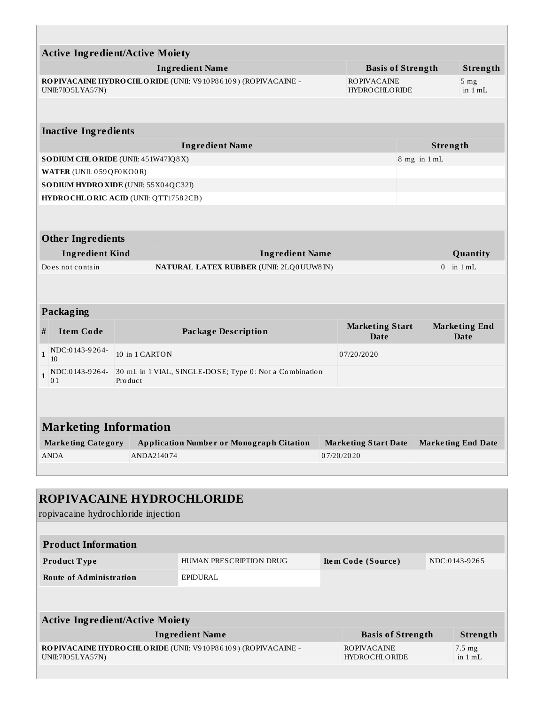| <b>Active Ingredient/Active Moiety</b>           |                                                                   |                                            |              |               |                                     |
|--------------------------------------------------|-------------------------------------------------------------------|--------------------------------------------|--------------|---------------|-------------------------------------|
|                                                  | <b>Basis of Strength</b>                                          |                                            |              | Strength      |                                     |
| UNII:7IO5LYA57N)                                 | ROPIVACAINE HYDRO CHLORIDE (UNII: V910P86109) (ROPIVACAINE -      | <b>ROPIVACAINE</b><br><b>HYDROCHLORIDE</b> |              |               | 5 <sub>mg</sub><br>in $1 mL$        |
|                                                  |                                                                   |                                            |              |               |                                     |
|                                                  |                                                                   |                                            |              |               |                                     |
| <b>Inactive Ingredients</b>                      |                                                                   |                                            |              |               |                                     |
|                                                  | <b>Ingredient Name</b>                                            |                                            |              | Strength      |                                     |
| SODIUM CHLORIDE (UNII: 451W47IQ8X)               |                                                                   |                                            | 8 mg in 1 mL |               |                                     |
| WATER (UNII: 059QF0KO0R)                         |                                                                   |                                            |              |               |                                     |
| SO DIUM HYDRO XIDE (UNII: 55X04QC32I)            |                                                                   |                                            |              |               |                                     |
| HYDROCHLORIC ACID (UNII: QTT17582CB)             |                                                                   |                                            |              |               |                                     |
|                                                  |                                                                   |                                            |              |               |                                     |
|                                                  |                                                                   |                                            |              |               |                                     |
| <b>Other Ingredients</b>                         |                                                                   |                                            |              |               |                                     |
| <b>Ingredient Kind</b><br>Does not contain       | <b>Ingredient Name</b><br>NATURAL LATEX RUBBER (UNII: 2LQ0UUW8IN) |                                            |              | $0$ in $1$ mL | Quantity                            |
|                                                  |                                                                   |                                            |              |               |                                     |
|                                                  |                                                                   |                                            |              |               |                                     |
| Packaging                                        |                                                                   |                                            |              |               |                                     |
|                                                  |                                                                   |                                            |              |               |                                     |
| <b>Item Code</b><br>#                            | <b>Package Description</b>                                        | <b>Marketing Start</b><br><b>Date</b>      |              |               | <b>Marketing End</b><br><b>Date</b> |
| NDC:0143-9264-<br>10 in 1 CARTON<br>$\mathbf{1}$ |                                                                   | 07/20/2020                                 |              |               |                                     |
| 10                                               |                                                                   |                                            |              |               |                                     |
| NDC:0143-9264-<br>$\mathbf{1}$<br>01<br>Product  | 30 mL in 1 VIAL, SINGLE-DOSE; Type 0: Not a Combination           |                                            |              |               |                                     |
|                                                  |                                                                   |                                            |              |               |                                     |
|                                                  |                                                                   |                                            |              |               |                                     |
| <b>Marketing Information</b>                     |                                                                   |                                            |              |               |                                     |
| <b>Marketing Category</b>                        | <b>Application Number or Monograph Citation</b>                   | <b>Marketing Start Date</b>                |              |               | <b>Marketing End Date</b>           |
| <b>ANDA</b>                                      | ANDA214074                                                        | 07/20/2020                                 |              |               |                                     |
|                                                  |                                                                   |                                            |              |               |                                     |
|                                                  |                                                                   |                                            |              |               |                                     |
| ROPIVACAINE HYDROCHLORIDE                        |                                                                   |                                            |              |               |                                     |
| ropivacaine hydrochloride injection              |                                                                   |                                            |              |               |                                     |
|                                                  |                                                                   |                                            |              |               |                                     |
| <b>Product Information</b>                       |                                                                   |                                            |              |               |                                     |
| Product Type                                     | HUMAN PRESCRIPTION DRUG                                           | Item Code (Source)                         |              | NDC:0143-9265 |                                     |
| <b>Route of Administration</b>                   | <b>EPIDURAL</b>                                                   |                                            |              |               |                                     |
|                                                  |                                                                   |                                            |              |               |                                     |
|                                                  |                                                                   |                                            |              |               |                                     |
| <b>Active Ingredient/Active Moiety</b>           |                                                                   |                                            |              |               |                                     |
|                                                  | <b>Ingredient Name</b>                                            | <b>Basis of Strength</b>                   |              |               | Strength                            |
|                                                  | ROPIVACAINE HYDRO CHLORIDE (UNII: V910P86109) (ROPIVACAINE -      | <b>ROPIVACAINE</b>                         |              |               | 7.5 mg                              |
| UNII:7IO5LYA57N)                                 |                                                                   | <b>HYDROCHLORIDE</b>                       |              |               | in $1 mL$                           |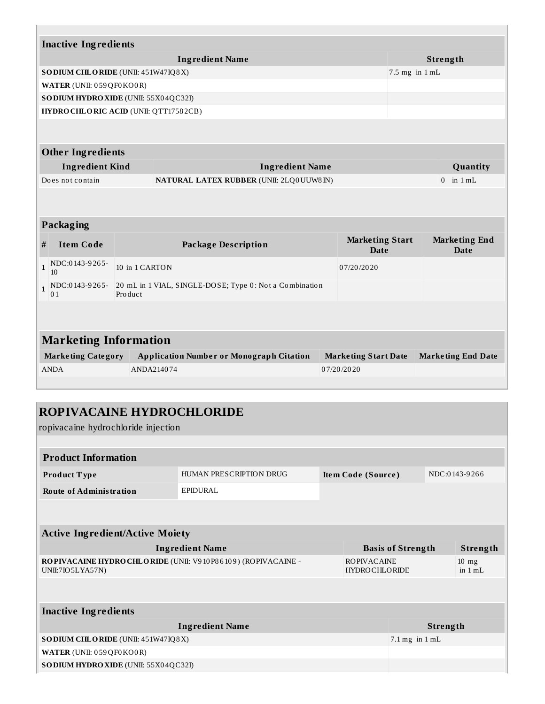|                                     | <b>Inactive Ingredients</b>           |                |            |                                                         |  |                                |                |                                     |  |
|-------------------------------------|---------------------------------------|----------------|------------|---------------------------------------------------------|--|--------------------------------|----------------|-------------------------------------|--|
|                                     |                                       |                |            | <b>Ingredient Name</b>                                  |  |                                |                | Strength                            |  |
|                                     | SODIUM CHLORIDE (UNII: 451W47IQ8X)    |                |            |                                                         |  |                                | 7.5 mg in 1 mL |                                     |  |
|                                     | WATER (UNII: 059QF0KO0R)              |                |            |                                                         |  |                                |                |                                     |  |
|                                     | SO DIUM HYDRO XIDE (UNII: 55X04QC32I) |                |            |                                                         |  |                                |                |                                     |  |
|                                     | HYDRO CHLORIC ACID (UNII: QTT17582CB) |                |            |                                                         |  |                                |                |                                     |  |
|                                     |                                       |                |            |                                                         |  |                                |                |                                     |  |
|                                     |                                       |                |            |                                                         |  |                                |                |                                     |  |
|                                     | <b>Other Ingredients</b>              |                |            |                                                         |  |                                |                |                                     |  |
|                                     | <b>Ingredient Kind</b>                |                |            | <b>Ingredient Name</b>                                  |  |                                |                | Quantity                            |  |
|                                     | Does not contain                      |                |            | NATURAL LATEX RUBBER (UNII: 2LQ0UUW8IN)                 |  |                                |                | $0$ in $1$ mL                       |  |
|                                     |                                       |                |            |                                                         |  |                                |                |                                     |  |
|                                     |                                       |                |            |                                                         |  |                                |                |                                     |  |
|                                     | Packaging                             |                |            |                                                         |  |                                |                |                                     |  |
| #                                   | <b>Item Code</b>                      |                |            | <b>Package Description</b>                              |  | <b>Marketing Start</b><br>Date |                | <b>Marketing End</b><br><b>Date</b> |  |
| $\mathbf{1}$                        | NDC:0143-9265-<br>10                  | 10 in 1 CARTON |            |                                                         |  | 07/20/2020                     |                |                                     |  |
| $\mathbf{1}$                        | NDC:0143-9265-<br>01                  | Product        |            | 20 mL in 1 VIAL, SINGLE-DOSE; Type 0: Not a Combination |  |                                |                |                                     |  |
|                                     |                                       |                |            |                                                         |  |                                |                |                                     |  |
|                                     |                                       |                |            |                                                         |  |                                |                |                                     |  |
|                                     | <b>Marketing Information</b>          |                |            |                                                         |  |                                |                |                                     |  |
|                                     | <b>Marketing Category</b>             |                |            | <b>Application Number or Monograph Citation</b>         |  | <b>Marketing Start Date</b>    |                | <b>Marketing End Date</b>           |  |
|                                     | <b>ANDA</b>                           |                | ANDA214074 |                                                         |  | 07/20/2020                     |                |                                     |  |
|                                     |                                       |                |            |                                                         |  |                                |                |                                     |  |
|                                     |                                       |                |            |                                                         |  |                                |                |                                     |  |
|                                     |                                       |                |            | ROPIVACAINE HYDROCHLORIDE                               |  |                                |                |                                     |  |
| ropivacaine hydrochloride injection |                                       |                |            |                                                         |  |                                |                |                                     |  |
|                                     |                                       |                |            |                                                         |  |                                |                |                                     |  |
|                                     | <b>Product Information</b>            |                |            |                                                         |  |                                |                |                                     |  |
|                                     |                                       |                |            |                                                         |  |                                |                |                                     |  |
|                                     | Product Type                          |                |            | HUMAN PRESCRIPTION DRUG                                 |  | Item Code (Source)             |                | NDC:0143-9266                       |  |
|                                     | <b>Route of Administration</b>        |                |            | <b>EPIDURAL</b>                                         |  |                                |                |                                     |  |
|                                     |                                       |                |            |                                                         |  |                                |                |                                     |  |
|                                     |                                       |                |            |                                                         |  |                                |                |                                     |  |

| <b>Active Ingredient/Active Moiety</b>                                          |                              |                            |
|---------------------------------------------------------------------------------|------------------------------|----------------------------|
| Ingredient Name                                                                 | <b>Basis of Strength</b>     | Strength                   |
| ROPIVACAINE HYDROCHLORIDE (UNII: V910P86109) (ROPIVACAINE -<br>UNII:7IO5LYA57N) | ROPIVACAINE<br>HYDROCHLORIDE | $10 \text{ mg}$<br>in 1 mL |

| Inactive Ingredients                         |                                          |  |  |  |  |  |
|----------------------------------------------|------------------------------------------|--|--|--|--|--|
| <b>Ingredient Name</b>                       | Strength                                 |  |  |  |  |  |
| <b>SODIUM CHLORIDE</b> (UNII: 451W47IQ8X)    | $7.1 \,\mathrm{mg}$ in $1 \,\mathrm{mL}$ |  |  |  |  |  |
| WATER (UNII: 059 QF0 KO0 R)                  |                                          |  |  |  |  |  |
| <b>SO DIUM HYDRO XIDE</b> (UNII: 55X04QC32I) |                                          |  |  |  |  |  |